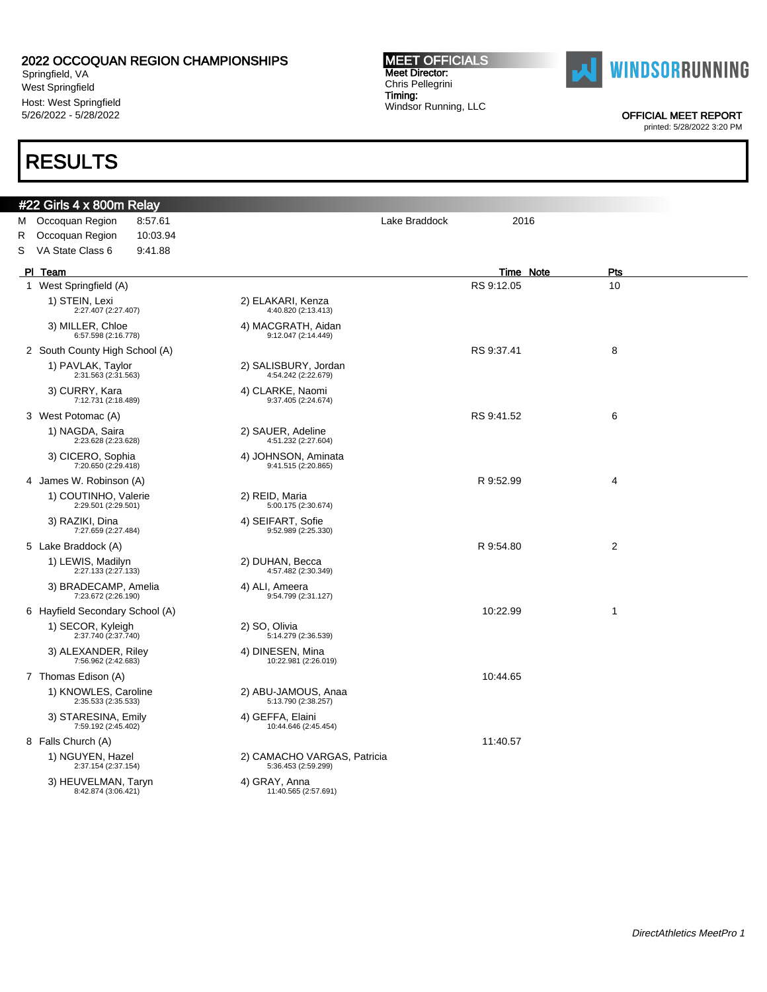Springfield, VA West Springfield Host: West Springfield 5/26/2022 - 5/28/2022

### RESULTS

#### #22 Girls 4 x 800m Relay M Occoquan Region 8:57.61 Contract Contract Care Care Care Lake Braddock 2016 R Occoquan Region 10:03.94 S VA State Class 6 9:41.88 Pl Team Time Note Pts 1 West Springfield (A) 10 November 2012 10 November 2012 10 November 2012 10 November 2012 10 1) STEIN, Lexi 2:27.407 (2:27.407) 2) ELAKARI, Kenza 4:40.820 (2:13.413) 3) MILLER, Chloe 6:57.598 (2:16.778) 4) MACGRATH, Aidan 9:12.047 (2:14.449) 2 South County High School (A) 8 and 8 and 8 and 8 and 8 and 8 and 8 and 8 and 8 and 8 and 8 and 8 and 8 and 8 and 8 and 8 and 8 and 8 and 8 and 8 and 8 and 8 and 8 and 8 and 8 and 8 and 8 and 8 and 8 and 8 and 8 and 8 and 1) PAVLAK, Taylor 2:31.563 (2:31.563) 2) SALISBURY, Jordan 4:54.242 (2:22.679) 3) CURRY, Kara 7:12.731 (2:18.489) 4) CLARKE, Naomi 9:37.405 (2:24.674) 3 West Potomac (A) 6 November 2012 12:38 November 2012 12:38 November 2013 12:38 November 2013 12:38 13:39 13:39 1) NAGDA, Saira 2:23.628 (2:23.628) 2) SAUER, Adeline 4:51.232 (2:27.604) 3) CICERO, Sophia 7:20.650 (2:29.418) 4) JOHNSON, Aminata 9:41.515 (2:20.865) 4 James W. Robinson (A) **R** 9:52.99 **4** 1) COUTINHO, Valerie 2:29.501 (2:29.501) 2) REID, Maria 5:00.175 (2:30.674) 3) RAZIKI, Dina 7:27.659 (2:27.484) 4) SEIFART, Sofie 9:52.989 (2:25.330) 5 Lake Braddock (A) 2 (2) R 9:54.80 2 (2) R 9:54.80 2 1) LEWIS, Madilyn 2:27.133 (2:27.133) 2) DUHAN, Becca 4:57.482 (2:30.349) 3) BRADECAMP, Amelia 7:23.672 (2:26.190) 4) ALI, Ameera 9:54.799 (2:31.127) 6 Hayfield Secondary School (A) 10:22.99 10:22.99 10:22.99 10:22.99 10:22.99 10:22.99 10:22.99 10:22.99 10:22.99 10:22.99 10:22.99 10:22.99 10:22.99 10:22.99 10:22.99 10:22.99 10:22.99 10:22.99 10:22.99 10:22.99 10:12 1) SECOR, Kyleigh 2:37.740 (2:37.740) 2) SO, Olivia 5:14.279 (2:36.539) 3) ALEXANDER, Riley 7:56.962 (2:42.683) 4) DINESEN, Mina 10:22.981 (2:26.019) 7 Thomas Edison (A) 10:44.65 1) KNOWLES, Caroline 2:35.533 (2:35.533) 2) ABU-JAMOUS, Anaa 5:13.790 (2:38.257) 3) STARESINA, Emily 7:59.192 (2:45.402) 4) GEFFA, Elaini 10:44.646 (2:45.454) 8 Falls Church (A) 11:40.57 1) NGUYEN, Hazel 2:37.154 (2:37.154) 2) CAMACHO VARGAS, Patricia 5:36.453 (2:59.299) 3) HEUVELMAN, Taryn 8:42.874 (3:06.421)

**MEET OFFICIALS** Meet Director: Chris Pellegrini Timing:

Windsor Running, LLC

4) GRAY, Anna 11:40.565 (2:57.691)



OFFICIAL MEET REPORT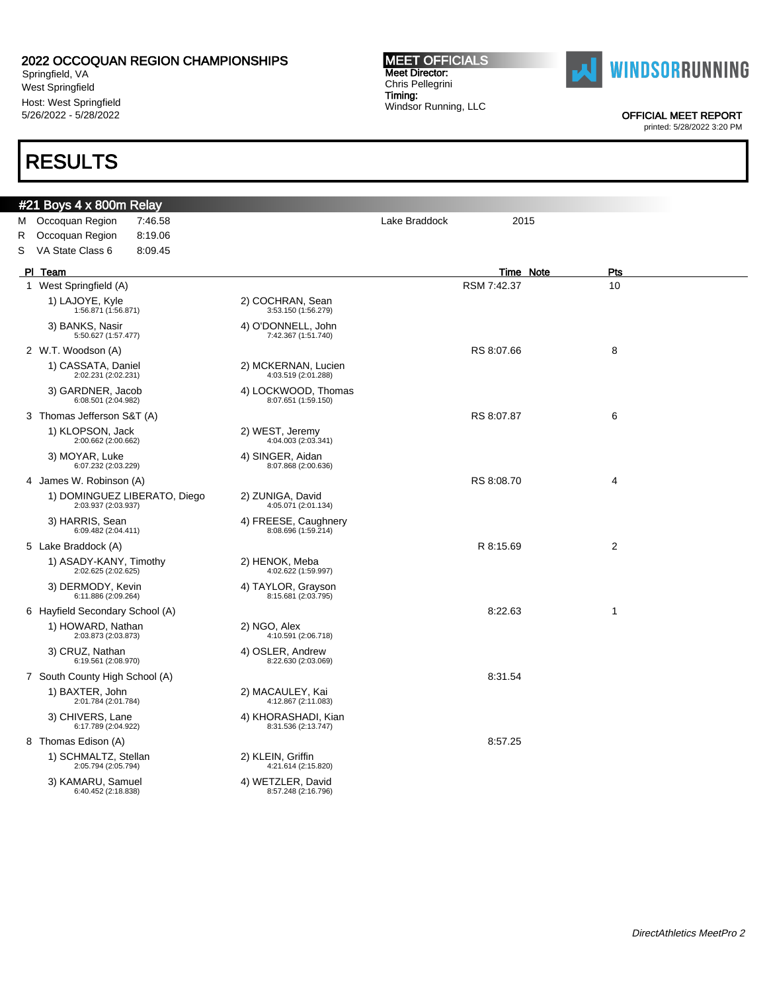Springfield, VA West Springfield Host: West Springfield 5/26/2022 - 5/28/2022

### RESULTS

#### #21 Boys 4 x 800m Relay M Occoquan Region 7:46.58 **Details and Secure 2015** Lake Braddock 2015 R Occoquan Region 8:19.06 S VA State Class 6 8:09.45 Pl Team Time Note Pts 1 West Springfield (A) 8 and 10 RSM 7:42.37 RSM 7:42.37 1) LAJOYE, Kyle 1:56.871 (1:56.871) 2) COCHRAN, Sean 3:53.150 (1:56.279) 3) BANKS, Nasir 5:50.627 (1:57.477) 4) O'DONNELL, John 7:42.367 (1:51.740) 2 W.T. Woodson (A) 8 and 8:07.66 8 and 8:07.66 8 and 8:07.66 and 8:07.66 and 8:07.66 and 8:07.66 and 8:07.66 and 8:07.66 and 8:07.66 and 8:07.66 and 8:07.66 and 8:07.66 and 8:07.66 and 9:07.66 and 9:07.66 and 9:07.66 and 9 1) CASSATA, Daniel 2:02.231 (2:02.231) 2) MCKERNAN, Lucien 4:03.519 (2:01.288) 3) GARDNER, Jacob  $6:08.501(2:04.982)$ 4) LOCKWOOD, Thomas 8:07.651 (1:59.150) 3 Thomas Jefferson S&T (A) 6 (2) 8 (2) 8 (3) 8 (3) 8 (3) 8 (3) 8 (3) 8 (3) 8 (3) 8 (3) 8 (4) 8 (4) 8 (4) 8 (4) 9 (5) 8 (5) 8 (5) 8 (5) 8 (5) 8 (5) 8 (5) 8 (5) 8 (5) 8 (5) 8 (5) 8 (5) 8 (5) 8 (5) 8 (5) 8 (5) 8 (5) 8 (5) 8 ( 1) KLOPSON, Jack 2:00.662 (2:00.662) 2) WEST, Jeremy 4:04.003 (2:03.341) 3) MOYAR, Luke 6:07.232 (2:03.229) 4) SINGER, Aidan 8:07.868 (2:00.636) 4 James W. Robinson (A) 2008 12:08:09 and 2008 12:09 and 2008 12:09 and 2008 12:09 and 2008 12:09 and 2008 12:0 1) DOMINGUEZ LIBERATO, Diego 2:03.937 (2:03.937) 2) ZUNIGA, David 4:05.071 (2:01.134) 3) HARRIS, Sean 6:09.482 (2:04.411) 4) FREESE, Caughnery 8:08.696 (1:59.214) 5 Lake Braddock (A) R 8:15.69 2 1) ASADY-KANY, Timothy 2:02.625 (2:02.625) 2) HENOK, Meba 4:02.622 (1:59.997) 3) DERMODY, Kevin 6:11.886 (2:09.264) 4) TAYLOR, Grayson 8:15.681 (2:03.795) 6 Hayfield Secondary School (A) 8:22.63 1 1) HOWARD, Nathan 2:03.873 (2:03.873) 2) NGO, Alex 4:10.591 (2:06.718) 3) CRUZ, Nathan 6:19.561 (2:08.970) 4) OSLER, Andrew 8:22.630 (2:03.069) 7 South County High School (A) 8:31.54 1) BAXTER, John 2:01.784 (2:01.784) 2) MACAULEY, Kai 4:12.867 (2:11.083) 3) CHIVERS, Lane 6:17.789 (2:04.922) 4) KHORASHADI, Kian 8:31.536 (2:13.747) 8 Thomas Edison (A) 8:57.25 1) SCHMALTZ, Stellan 2:05.794 (2:05.794) 2) KLEIN, Griffin 4:21.614 (2:15.820) 3) KAMARU, Samuel 6:40.452 (2:18.838) 4) WETZLER, David

8:57.248 (2:16.796)

**MEET OFFICIALS** Meet Director: Chris Pellegrini Timing: Windsor Running, LLC



OFFICIAL MEET REPORT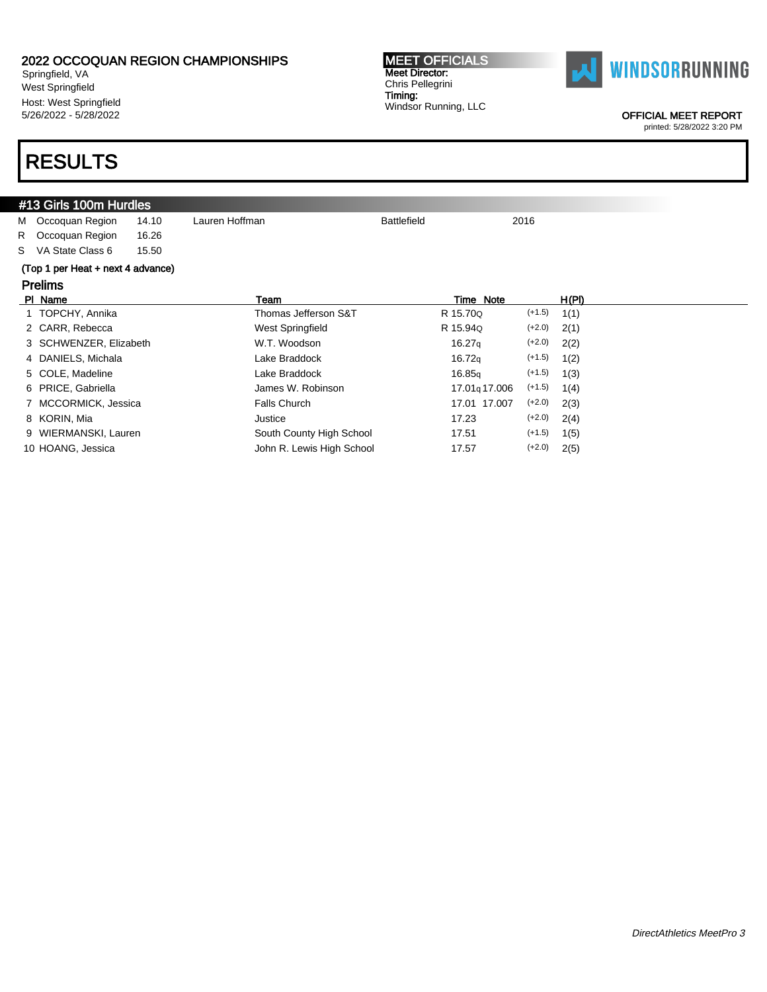Springfield, VA West Springfield Host: West Springfield 5/26/2022 - 5/28/2022

# RESULTS

#### #13 Girls 100m Hurdles M Occoquan Region 14.10 Lauren Hoffman **Battlefield** Battlefield 2016 R Occoquan Region 16.26 S VA State Class 6 15.50 (Top 1 per Heat + next 4 advance) Prelims Pl Name Team Time Note H(Pl) 1 TOPCHY, Annika Thomas Jefferson S&T R 15.70Q (+1.5) 1(1) 2 CARR, Rebecca West Springfield R 15.94Q (+2.0) 2(1) 3 SCHWENZER, Elizabeth **W.T. Woodson** 16.27q (+2.0) 2(2) 4 DANIELS, Michala **Lake Braddock** 16.72q (+1.5) 1(2) 5 COLE, Madeline **Lake Braddock** 16.85q (+1.5) 1(3) 6 PRICE, Gabriella James W. Robinson 17.01q 17.006 (+1.5) 1(4) 7 MCCORMICK, Jessica Falls Church 17.01 17.007 (+2.0) 2(3) 8 KORIN, Mia 17.23 (+2.0) 2(4) 9 WIERMANSKI, Lauren South County High School 17.51 (+1.5) 1(5) 10 HOANG, Jessica **John R. Lewis High School** 17.57 (+2.0) 2(5)

MEET OFFICIALS



OFFICIAL MEET REPORT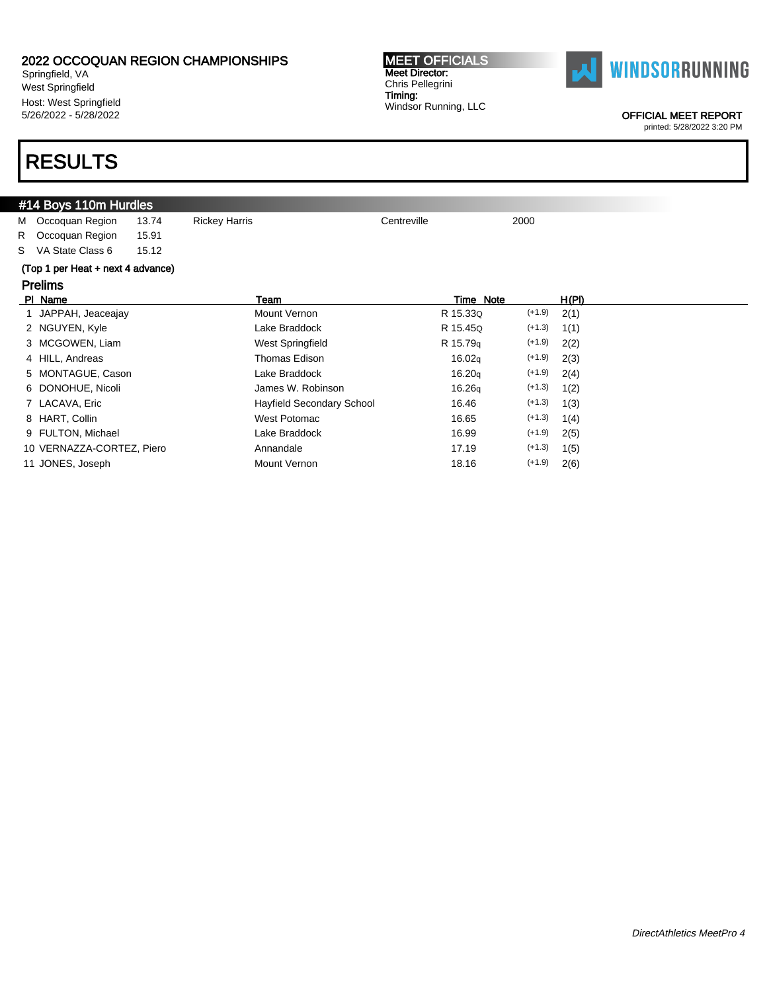Springfield, VA West Springfield Host: West Springfield 5/26/2022 - 5/28/2022

### RESULTS

#### #14 Boys 110m Hurdles M Occoquan Region 13.74 Rickey Harris Channel Centreville 2000 R Occoquan Region 15.91 S VA State Class 6 15.12 (Top 1 per Heat + next 4 advance) Prelims Pl Name Team Time Note H(Pl) 1 JAPPAH, Jeaceajay **Mount Vernon** R 15.33Q (+1.9) 2(1) 2 NGUYEN, Kyle Lake Braddock R 15.45Q (+1.3) 1(1) 3 MCGOWEN, Liam West Springfield R 15.79q (+1.9) 2(2) 4 HILL, Andreas Thomas Edison 16.02q (+1.9) 2(3) 5 MONTAGUE, Cason Lake Braddock 16.20q (+1.9) 2(4) 6 DONOHUE, Nicoli James W. Robinson 16.26q (+1.3) 1(2) 7 LACAVA, Eric **Finally Secondary School** 16.46 (+1.3) 1(3) 8 HART, Collin 2008 (+1.3) 1(4) West Potomac 2008 (+1.3) 1(4) 9 FULTON, Michael **Lake Braddock** 16.99 (+1.9) 2(5) 10 VERNAZZA-CORTEZ, Piero Annandale 17.19 (+1.3) 1(5) 11 JONES, Joseph **Mount Vernon** Mount Vernon 18.16 (+1.9) 2(6)



Chris Pellegrini Timing: Windsor Running, LLC

MEET OFFICIALS Meet Director:

OFFICIAL MEET REPORT printed: 5/28/2022 3:20 PM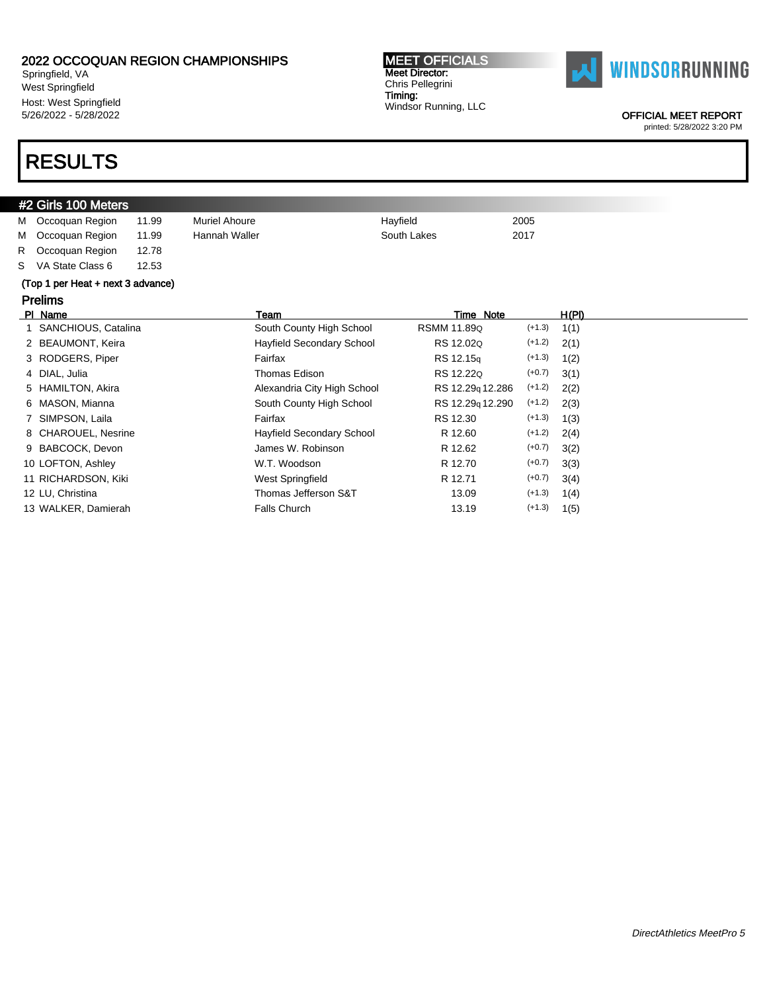Springfield, VA West Springfield Host: West Springfield 5/26/2022 - 5/28/2022

# RESULTS

#### MEET OFFICIALS Meet Director: Chris Pellegrini Timing: Windsor Running, LLC



OFFICIAL MEET REPORT

|                                   | #2 Girls 100 Meters    |       |                                  |                  |           |       |  |  |
|-----------------------------------|------------------------|-------|----------------------------------|------------------|-----------|-------|--|--|
| м                                 | Occoquan Region        | 11.99 | <b>Muriel Ahoure</b>             | Hayfield         | 2005      |       |  |  |
| м                                 | Occoquan Region        | 11.99 | Hannah Waller                    | South Lakes      | 2017      |       |  |  |
| R                                 | Occoquan Region        | 12.78 |                                  |                  |           |       |  |  |
| S.                                | VA State Class 6       | 12.53 |                                  |                  |           |       |  |  |
| (Top 1 per Heat + next 3 advance) |                        |       |                                  |                  |           |       |  |  |
|                                   | <b>Prelims</b>         |       |                                  |                  |           |       |  |  |
|                                   | PI Name                |       | Team                             |                  | Time Note | H(PI) |  |  |
|                                   | SANCHIOUS, Catalina    |       | South County High School         | RSMM 11.89Q      | $(+1.3)$  | 1(1)  |  |  |
|                                   | 2 BEAUMONT, Keira      |       | <b>Hayfield Secondary School</b> | RS 12.02Q        | $(+1.2)$  | 2(1)  |  |  |
|                                   | 3 RODGERS, Piper       |       | Fairfax                          | RS 12.15q        | $(+1.3)$  | 1(2)  |  |  |
|                                   | 4 DIAL, Julia          |       | Thomas Edison                    | RS 12.22Q        | $(+0.7)$  | 3(1)  |  |  |
|                                   | <b>HAMILTON, Akira</b> |       | Alexandria City High School      | RS 12.29q 12.286 | $(+1.2)$  | 2(2)  |  |  |
|                                   | 6 MASON, Mianna        |       | South County High School         | RS 12.29q 12.290 | $(+1.2)$  | 2(3)  |  |  |
|                                   | SIMPSON, Laila         |       | Fairfax                          | RS 12.30         | $(+1.3)$  | 1(3)  |  |  |
|                                   | 8 CHAROUEL, Nesrine    |       | Hayfield Secondary School        | R 12.60          | $(+1.2)$  | 2(4)  |  |  |
| 9                                 | BABCOCK, Devon         |       | James W. Robinson                | R 12.62          | $(+0.7)$  | 3(2)  |  |  |
|                                   | 10 LOFTON, Ashley      |       | W.T. Woodson                     | R 12.70          | $(+0.7)$  | 3(3)  |  |  |
|                                   | 11 RICHARDSON, Kiki    |       | West Springfield                 | R 12.71          | $(+0.7)$  | 3(4)  |  |  |
|                                   | 12 LU, Christina       |       | Thomas Jefferson S&T             | 13.09            | $(+1.3)$  | 1(4)  |  |  |
|                                   | 13 WALKER, Damierah    |       | <b>Falls Church</b>              | 13.19            | $(+1.3)$  | 1(5)  |  |  |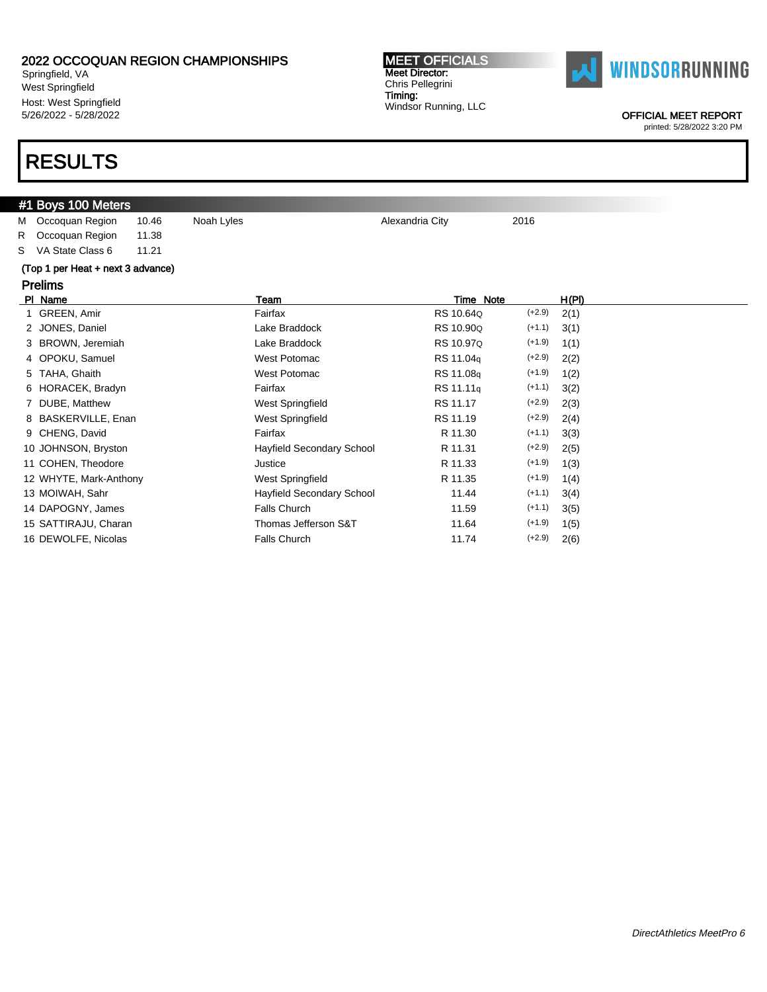Springfield, VA West Springfield Host: West Springfield 5/26/2022 - 5/28/2022

### RESULTS

### #1 Boys 100 Meters

M Occoquan Region 10.46 Noah Lyles **Alexandria City** 2016 R Occoquan Region 11.38

S VA State Class 6 11.21

#### (Top 1 per Heat + next 3 advance)

### Prelims

| Team                      | Time Note             |          | H(PI) |
|---------------------------|-----------------------|----------|-------|
| Fairfax                   | RS 10.64Q             | $(+2.9)$ | 2(1)  |
| Lake Braddock             | RS 10.90Q             | $(+1.1)$ | 3(1)  |
| Lake Braddock             | RS 10.97Q             | $(+1.9)$ | 1(1)  |
| West Potomac              | RS 11.04g             | $(+2.9)$ | 2(2)  |
| West Potomac              | RS 11.08q             | $(+1.9)$ | 1(2)  |
| Fairfax                   | RS 11.11 <sub>g</sub> | $(+1.1)$ | 3(2)  |
| West Springfield          | RS 11.17              | $(+2.9)$ | 2(3)  |
| West Springfield          | RS 11.19              | $(+2.9)$ | 2(4)  |
| Fairfax                   | R 11.30               | $(+1.1)$ | 3(3)  |
| Hayfield Secondary School | R 11.31               | $(+2.9)$ | 2(5)  |
| Justice                   | R 11.33               | $(+1.9)$ | 1(3)  |
| West Springfield          | R 11.35               | $(+1.9)$ | 1(4)  |
| Hayfield Secondary School | 11.44                 | $(+1.1)$ | 3(4)  |
| Falls Church              | 11.59                 | $(+1.1)$ | 3(5)  |
| Thomas Jefferson S&T      | 11.64                 | $(+1.9)$ | 1(5)  |
| Falls Church              | 11.74                 | $(+2.9)$ | 2(6)  |
|                           |                       |          |       |

Timing:

Windsor Running, LLC

MEET OFFICIALS Meet Director: Chris Pellegrini



OFFICIAL MEET REPORT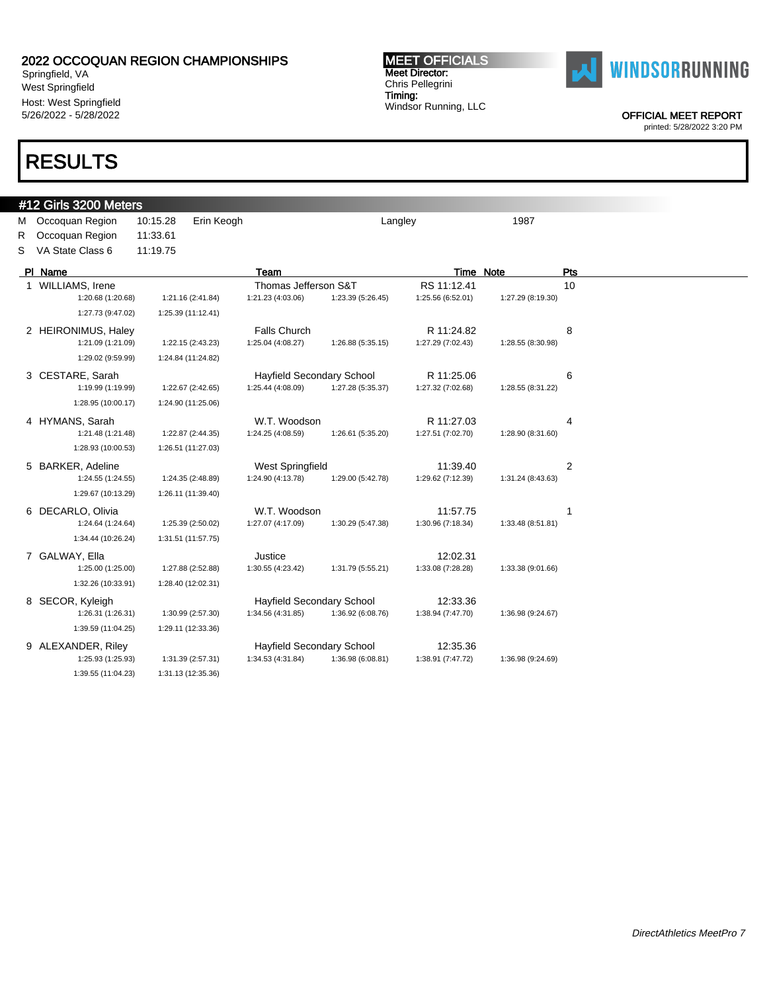Springfield, VA West Springfield Host: West Springfield 5/26/2022 - 5/28/2022

### RESULTS

### #12 Girls 3200 Meters

M Occoquan Region 10:15.28 Erin Keogh Langley Langley 1987 R Occoquan Region 11:33.61 S VA State Class 6 11:19.75

| PI Name             |                    | Team                      |                   | Time Note         |                   | Pts            |
|---------------------|--------------------|---------------------------|-------------------|-------------------|-------------------|----------------|
| WILLIAMS, Irene     |                    | Thomas Jefferson S&T      |                   | RS 11:12.41       |                   | 10             |
| 1:20.68 (1:20.68)   | 1:21.16 (2:41.84)  | 1:21.23 (4:03.06)         | 1:23.39 (5:26.45) | 1:25.56 (6:52.01) | 1:27.29 (8:19.30) |                |
| 1:27.73 (9:47.02)   | 1:25.39 (11:12.41) |                           |                   |                   |                   |                |
| 2 HEIRONIMUS, Haley |                    | <b>Falls Church</b>       |                   | R 11:24.82        |                   | 8              |
| 1:21.09 (1:21.09)   | 1:22.15 (2:43.23)  | 1:25.04 (4:08.27)         | 1:26.88 (5:35.15) | 1:27.29 (7:02.43) | 1:28.55 (8:30.98) |                |
| 1:29.02 (9:59.99)   | 1:24.84 (11:24.82) |                           |                   |                   |                   |                |
| 3 CESTARE, Sarah    |                    | Hayfield Secondary School |                   | R 11:25.06        |                   | 6              |
| 1:19.99 (1:19.99)   | 1:22.67 (2:42.65)  | 1:25.44 (4:08.09)         | 1:27.28 (5:35.37) | 1:27.32 (7:02.68) | 1:28.55 (8:31.22) |                |
| 1:28.95 (10:00.17)  | 1:24.90 (11:25.06) |                           |                   |                   |                   |                |
| 4 HYMANS, Sarah     |                    | W.T. Woodson              |                   | R 11:27.03        |                   | 4              |
| 1:21.48 (1:21.48)   | 1:22.87 (2:44.35)  | 1:24.25 (4:08.59)         | 1:26.61 (5:35.20) | 1:27.51 (7:02.70) | 1:28.90 (8:31.60) |                |
| 1:28.93 (10:00.53)  | 1:26.51 (11:27.03) |                           |                   |                   |                   |                |
| 5 BARKER, Adeline   |                    | <b>West Springfield</b>   |                   | 11:39.40          |                   | $\overline{2}$ |
| 1:24.55 (1:24.55)   | 1:24.35 (2:48.89)  | 1:24.90 (4:13.78)         | 1:29.00 (5:42.78) | 1:29.62 (7:12.39) | 1:31.24 (8:43.63) |                |
| 1:29.67 (10:13.29)  | 1:26.11 (11:39.40) |                           |                   |                   |                   |                |
| 6 DECARLO, Olivia   |                    | W.T. Woodson              |                   | 11:57.75          |                   |                |
| 1:24.64 (1:24.64)   | 1:25.39 (2:50.02)  | 1:27.07 (4:17.09)         | 1:30.29 (5:47.38) | 1:30.96 (7:18.34) | 1:33.48 (8:51.81) |                |
| 1:34.44 (10:26.24)  | 1:31.51 (11:57.75) |                           |                   |                   |                   |                |
| 7 GALWAY, Ella      |                    | Justice                   |                   | 12:02.31          |                   |                |
| 1:25.00 (1:25.00)   | 1:27.88 (2:52.88)  | 1:30.55 (4:23.42)         | 1:31.79 (5:55.21) | 1:33.08 (7:28.28) | 1:33.38 (9:01.66) |                |
| 1:32.26 (10:33.91)  | 1:28.40 (12:02.31) |                           |                   |                   |                   |                |
| 8 SECOR, Kyleigh    |                    | Hayfield Secondary School |                   | 12:33.36          |                   |                |
| 1:26.31 (1:26.31)   | 1:30.99 (2:57.30)  | 1:34.56 (4:31.85)         | 1:36.92 (6:08.76) | 1:38.94 (7:47.70) | 1:36.98 (9:24.67) |                |
| 1:39.59 (11:04.25)  | 1:29.11 (12:33.36) |                           |                   |                   |                   |                |
| 9 ALEXANDER, Riley  |                    | Hayfield Secondary School |                   | 12:35.36          |                   |                |
| 1:25.93 (1:25.93)   | 1:31.39 (2:57.31)  | 1:34.53 (4:31.84)         | 1:36.98 (6:08.81) | 1:38.91 (7:47.72) | 1:36.98 (9:24.69) |                |
| 1:39.55 (11:04.23)  | 1:31.13 (12:35.36) |                           |                   |                   |                   |                |



OFFICIAL MEET REPORT

printed: 5/28/2022 3:20 PM

#### MEET OFFICIALS Meet Director: Chris Pellegrini Timing: Windsor Running, LLC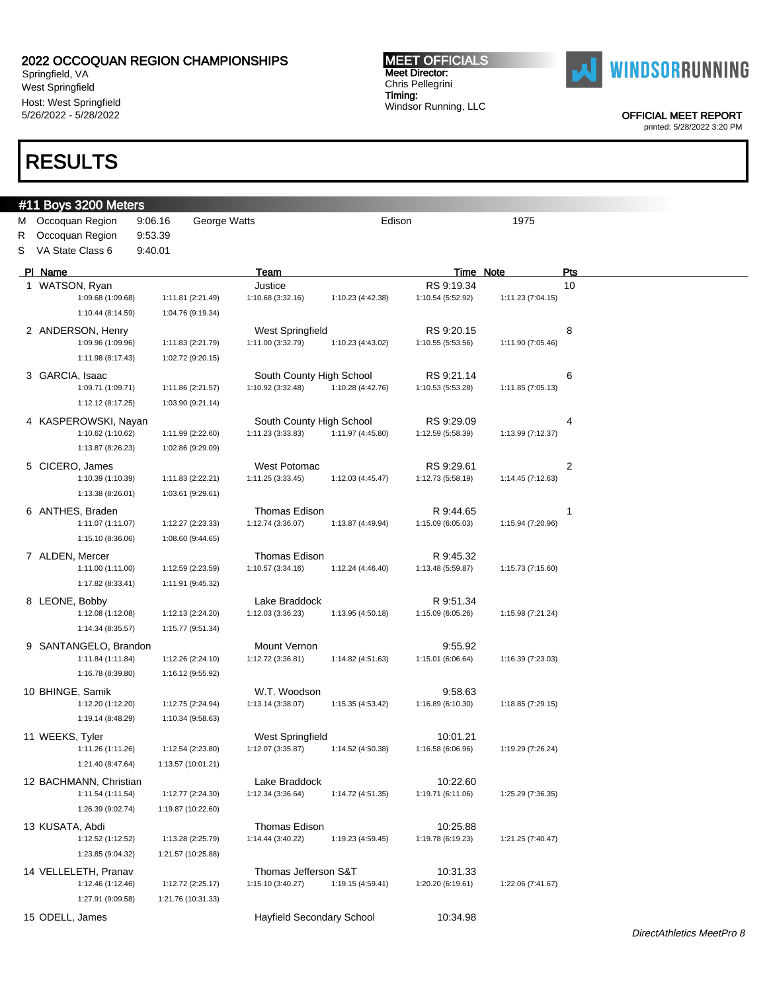Springfield, VA West Springfield Host: West Springfield 5/26/2022 - 5/28/2022

### RESULTS

### #11 Boys 3200 Meters

M Occoquan Region 9:06.16 George Watts **Edison** Edison 1975 R Occoquan Region 9:53.39

S VA State Class 6 9:40.01

| PI Name                                   |                    | Team                                          |                   |                   | <b>Time Note</b>  | <b>Pts</b>                |  |
|-------------------------------------------|--------------------|-----------------------------------------------|-------------------|-------------------|-------------------|---------------------------|--|
| 1 WATSON, Ryan                            |                    | Justice                                       |                   | RS 9:19.34        |                   | 10                        |  |
| 1:09.68 (1:09.68)                         | 1:11.81 (2:21.49)  | 1:10.68 (3:32.16)                             | 1:10.23 (4:42.38) | 1:10.54 (5:52.92) | 1:11.23 (7:04.15) |                           |  |
| 1:10.44 (8:14.59)                         | 1:04.76 (9:19.34)  |                                               |                   |                   |                   |                           |  |
|                                           |                    |                                               |                   |                   |                   |                           |  |
| 2 ANDERSON, Henry                         |                    | West Springfield                              |                   | RS 9:20.15        |                   | 8                         |  |
| 1:09.96 (1:09.96)                         | 1:11.83 (2:21.79)  | 1:11.00 (3:32.79)                             | 1:10.23 (4:43.02) | 1:10.55 (5:53.56) | 1:11.90 (7:05.46) |                           |  |
| 1:11.98 (8:17.43)                         | 1:02.72 (9:20.15)  |                                               |                   |                   |                   |                           |  |
| 3 GARCIA, Isaac                           |                    | South County High School                      |                   | RS 9:21.14        |                   | 6                         |  |
| 1:09.71 (1:09.71)                         | 1:11.86 (2:21.57)  | 1:10.92 (3:32.48)                             | 1:10.28 (4:42.76) | 1:10.53 (5:53.28) | 1:11.85 (7:05.13) |                           |  |
| 1:12.12 (8:17.25)                         | 1:03.90 (9:21.14)  |                                               |                   |                   |                   |                           |  |
|                                           |                    |                                               |                   |                   |                   |                           |  |
| 4 KASPEROWSKI, Nayan                      |                    | South County High School<br>1:11.23 (3:33.83) |                   | RS 9:29.09        |                   | 4                         |  |
| 1:10.62 (1:10.62)                         | 1:11.99 (2:22.60)  |                                               | 1:11.97 (4:45.80) | 1:12.59 (5:58.39) | 1:13.99 (7:12.37) |                           |  |
| 1:13.87 (8:26.23)                         | 1:02.86 (9:29.09)  |                                               |                   |                   |                   |                           |  |
| 5 CICERO, James                           |                    | West Potomac                                  |                   | RS 9:29.61        |                   | 2                         |  |
| 1:10.39 (1:10.39)                         | 1:11.83 (2:22.21)  | 1:11.25 (3:33.45)                             | 1:12.03 (4:45.47) | 1:12.73 (5:58.19) | 1:14.45 (7:12.63) |                           |  |
| 1:13.38 (8:26.01)                         | 1:03.61 (9:29.61)  |                                               |                   |                   |                   |                           |  |
| 6 ANTHES, Braden                          |                    | Thomas Edison                                 |                   | R 9:44.65         |                   | 1                         |  |
| 1:11.07 (1:11.07)                         | 1:12.27 (2:23.33)  | 1:12.74 (3:36.07)                             | 1:13.87 (4:49.94) | 1:15.09 (6:05.03) | 1:15.94 (7:20.96) |                           |  |
|                                           |                    |                                               |                   |                   |                   |                           |  |
| 1:15.10 (8:36.06)                         | 1:08.60 (9:44.65)  |                                               |                   |                   |                   |                           |  |
| 7 ALDEN, Mercer                           |                    | <b>Thomas Edison</b>                          |                   | R 9:45.32         |                   |                           |  |
| 1:11.00 (1:11.00)                         | 1:12.59 (2:23.59)  | 1:10.57 (3:34.16)                             | 1:12.24 (4:46.40) | 1:13.48 (5:59.87) | 1:15.73 (7:15.60) |                           |  |
| 1:17.82 (8:33.41)                         | 1:11.91 (9:45.32)  |                                               |                   |                   |                   |                           |  |
| 8 LEONE, Bobby                            |                    | Lake Braddock                                 |                   | R 9:51.34         |                   |                           |  |
| 1:12.08 (1:12.08)                         | 1:12.13 (2:24.20)  | 1:12.03 (3:36.23)                             | 1:13.95 (4:50.18) | 1:15.09 (6:05.26) | 1:15.98 (7:21.24) |                           |  |
| 1:14.34 (8:35.57)                         | 1:15.77 (9:51.34)  |                                               |                   |                   |                   |                           |  |
|                                           |                    |                                               |                   |                   |                   |                           |  |
| 9 SANTANGELO, Brandon                     |                    | Mount Vernon                                  |                   | 9:55.92           |                   |                           |  |
| 1:11.84 (1:11.84)                         | 1:12.26 (2:24.10)  | 1:12.72 (3:36.81)                             | 1:14.82 (4:51.63) | 1:15.01 (6:06.64) | 1:16.39 (7:23.03) |                           |  |
| 1:16.78 (8:39.80)                         | 1:16.12 (9:55.92)  |                                               |                   |                   |                   |                           |  |
| 10 BHINGE, Samik                          |                    | W.T. Woodson                                  |                   | 9:58.63           |                   |                           |  |
| 1:12.20 (1:12.20)                         | 1:12.75 (2:24.94)  | 1:13.14 (3:38.07)                             | 1:15.35 (4:53.42) | 1:16.89 (6:10.30) | 1:18.85 (7:29.15) |                           |  |
| 1:19.14 (8:48.29)                         | 1:10.34 (9:58.63)  |                                               |                   |                   |                   |                           |  |
| 11 WEEKS, Tyler                           |                    | West Springfield                              |                   | 10:01.21          |                   |                           |  |
| 1:11.26 (1:11.26)                         | 1:12.54 (2:23.80)  | 1:12.07 (3:35.87)                             | 1:14.52 (4:50.38) | 1:16.58 (6:06.96) | 1:19.29 (7:26.24) |                           |  |
|                                           |                    |                                               |                   |                   |                   |                           |  |
| 1:21.40 (8:47.64)                         | 1:13.57 (10:01.21) |                                               |                   |                   |                   |                           |  |
| 12 BACHMANN, Christian                    |                    | Lake Braddock                                 |                   | 10:22.60          |                   |                           |  |
| 1:11.54 (1:11.54)                         | 1:12.77 (2:24.30)  | 1:12.34 (3:36.64)                             | 1:14.72 (4:51.35) | 1:19.71 (6:11.06) | 1:25.29 (7:36.35) |                           |  |
| 1:26.39 (9:02.74)                         | 1:19.87 (10:22.60) |                                               |                   |                   |                   |                           |  |
| 13 KUSATA, Abdi                           |                    | Thomas Edison                                 |                   | 10:25.88          |                   |                           |  |
| 1:12.52 (1:12.52)                         | 1:13.28 (2:25.79)  | 1:14.44 (3:40.22)                             | 1:19.23 (4:59.45) | 1:19.78 (6:19.23) | 1:21.25 (7:40.47) |                           |  |
| 1:23.85 (9:04.32)                         | 1:21.57 (10:25.88) |                                               |                   |                   |                   |                           |  |
|                                           |                    |                                               |                   |                   |                   |                           |  |
| 14 VELLELETH, Pranav<br>1:12.46 (1:12.46) |                    | Thomas Jefferson S&T<br>1:15.10 (3:40.27)     | 1:19.15 (4:59.41) | 10:31.33          |                   |                           |  |
|                                           | 1:12.72 (2:25.17)  |                                               |                   | 1:20.20 (6:19.61) | 1:22.06 (7:41.67) |                           |  |
| 1:27.91 (9:09.58)                         | 1:21.76 (10:31.33) |                                               |                   |                   |                   |                           |  |
| 15 ODELL, James                           |                    | Hayfield Secondary School                     |                   | 10:34.98          |                   |                           |  |
|                                           |                    |                                               |                   |                   |                   | DirectAthletics MeetPro 8 |  |

MEET OFFICIALS Meet Director: Chris Pellegrini Timing:

Windsor Running, LLC



OFFICIAL MEET REPORT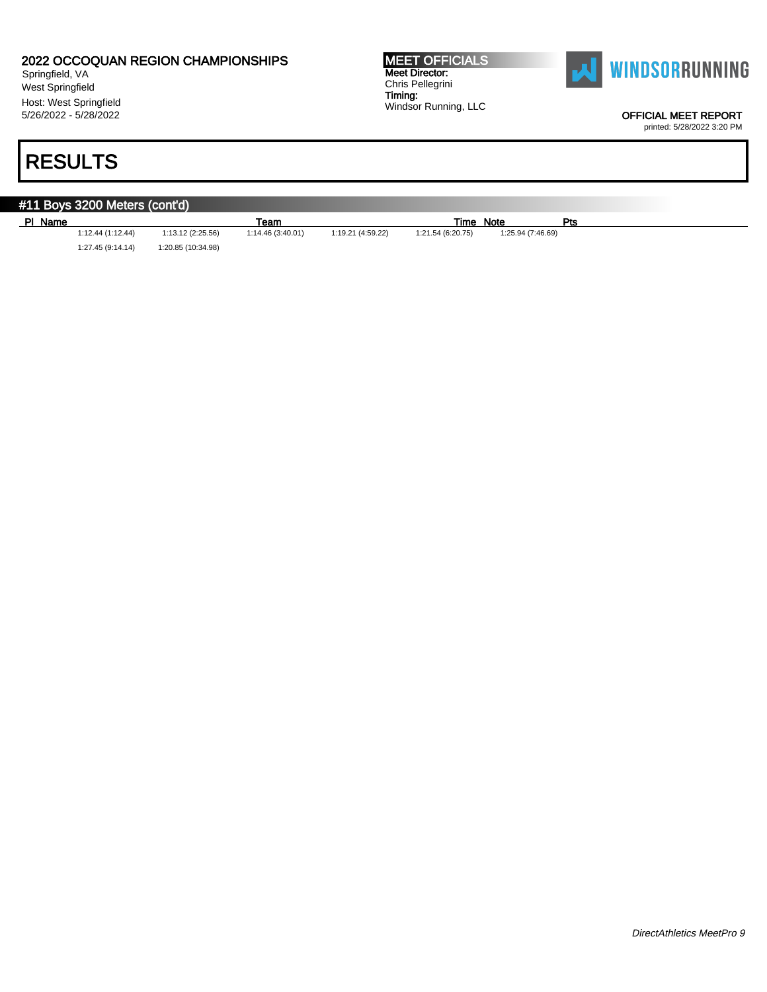Springfield, VA West Springfield Host: West Springfield 5/26/2022 - 5/28/2022

# RESULTS

MEET OFFICIALS Meet Director: Chris Pellegrini Timing: Windsor Running, LLC



OFFICIAL MEET REPORT

printed: 5/28/2022 3:20 PM

#### #11 Boys 3200 Meters (cont'd) Pl Name Team Time Note Pts (1:12.44 (1:12.44) 1:13.12 (2:25.56) 1:14.46 (3:40.01) 1:19.21 (4:59.22) 1:21.54 (6:20.75) 1:25.94 (7:46.69) 1:21.54 (6:20.75) 1:27.45 (9:14.14) 1:20.85 (10:34.98)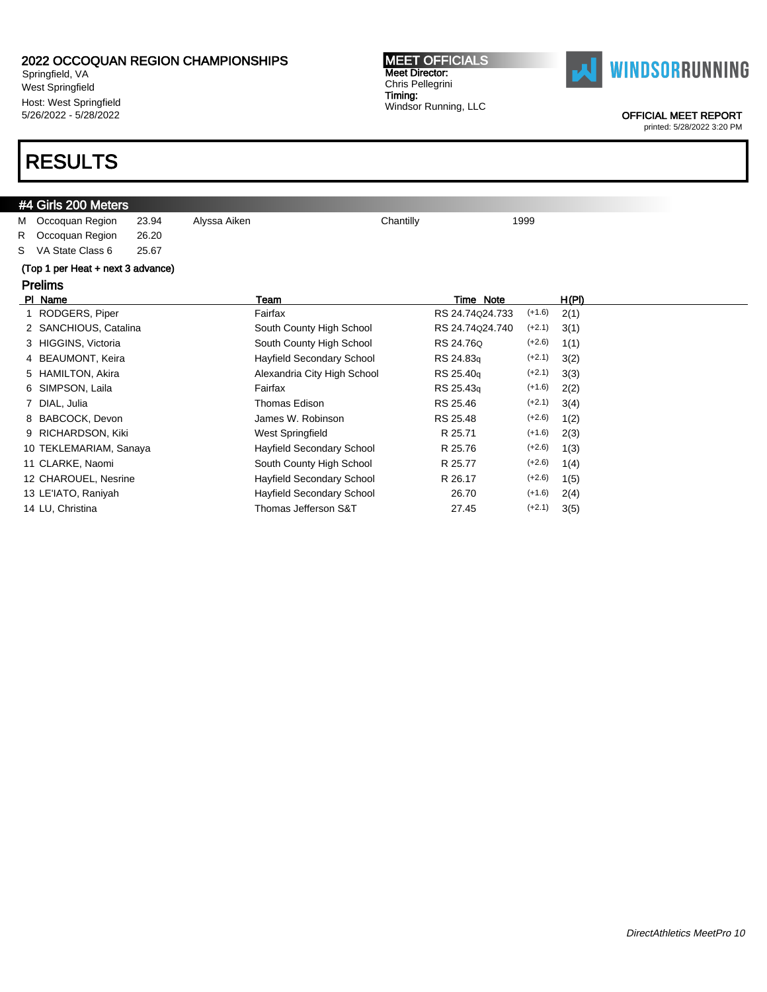Springfield, VA West Springfield Host: West Springfield 5/26/2022 - 5/28/2022

### RESULTS

### #4 Girls 200 Meters

M Occoquan Region 23.94 Alyssa Aiken Chantilly Chantilly 1999 R Occoquan Region 26.20

S VA State Class 6 25.67

### (Top 1 per Heat + next 3 advance)

### Prelims Pl Name Team Time Note H(Pl) 1 RODGERS, Piper Fairfax Fairfax RS 24.74Q24.733 (+1.6) 2(1) 2 SANCHIOUS, Catalina South County High School RS 24.74q24.740 (+2.1) 3(1) 3 HIGGINS, Victoria **South County High School** RS 24.76Q (+2.6) 1(1) 4 BEAUMONT, Keira **Hayfield Secondary School** RS 24.83q (+2.1) 3(2) 5 HAMILTON, Akira **Alexandria City High School** RS 25.40q (+2.1) 3(3) 6 SIMPSON, Laila Fairfax RS 25.43q (+1.6) 2(2) 7 DIAL, Julia **Thomas Edison** RS 25.46 (+2.1) 3(4) 8 BABCOCK, Devon James W. Robinson RS 25.48 (+2.6) 1(2) 9 RICHARDSON, Kiki **West Springfield** R 25.71 (+1.6) 2(3) 10 TEKLEMARIAM, Sanaya **Hayfield Secondary School** R 25.76 (+2.6) 1(3) 11 CLARKE, Naomi South County High School R 25.77 (+2.6) 1(4) 12 CHAROUEL, Nesrine Hayfield Secondary School R 26.17 (+2.6) 1(5) 13 LE'IATO, Raniyah Hayfield Secondary School 26.70 (+1.6) 2(4) 14 LU, Christina Thomas Jefferson S&T 27.45 (+2.1) 3(5)

MEET OFFICIALS Meet Director: Chris Pellegrini Timing: Windsor Running, LLC



#### OFFICIAL MEET REPORT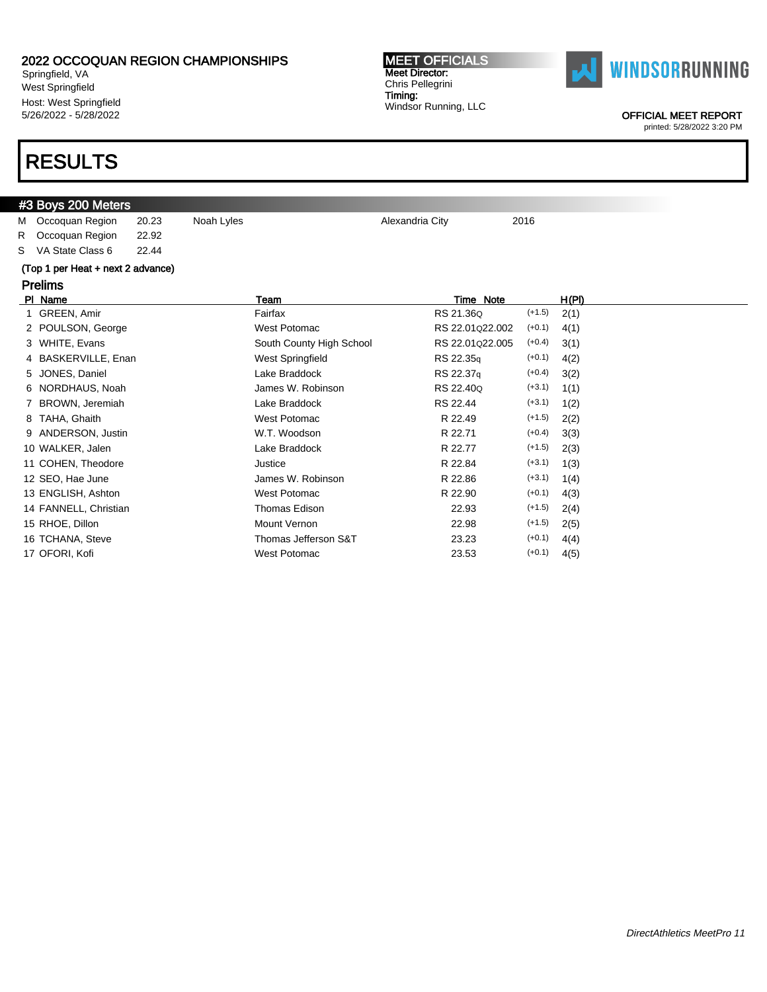Springfield, VA West Springfield Host: West Springfield 5/26/2022 - 5/28/2022

### RESULTS

### #3 Boys 200 Meters

M Occoquan Region 20.23 Noah Lyles **Alexandria City** 2016 R Occoquan Region 22.92

S VA State Class 6 22.44

### (Top 1 per Heat + next 2 advance)

| (TU) T DEI FIEALT HEALZ AUVAHUE) |                          |                  |          |       |
|----------------------------------|--------------------------|------------------|----------|-------|
| <b>Prelims</b>                   |                          |                  |          |       |
| PI Name                          | Team                     | Time Note        |          | H(PI) |
| 1 GREEN, Amir                    | Fairfax                  | RS 21.36Q        | $(+1.5)$ | 2(1)  |
| 2 POULSON, George                | West Potomac             | RS 22.01 Q22.002 | $(+0.1)$ | 4(1)  |
| 3 WHITE, Evans                   | South County High School | RS 22.01q22.005  | $(+0.4)$ | 3(1)  |
| 4 BASKERVILLE, Enan              | West Springfield         | RS 22.35q        | $(+0.1)$ | 4(2)  |
| 5 JONES, Daniel                  | Lake Braddock            | RS 22.37q        | $(+0.4)$ | 3(2)  |
| 6 NORDHAUS, Noah                 | James W. Robinson        | RS 22.40Q        | $(+3.1)$ | 1(1)  |
| BROWN, Jeremiah                  | Lake Braddock            | RS 22.44         | $(+3.1)$ | 1(2)  |
| 8 TAHA, Ghaith                   | West Potomac             | R 22.49          | $(+1.5)$ | 2(2)  |
| 9 ANDERSON, Justin               | W.T. Woodson             | R 22.71          | $(+0.4)$ | 3(3)  |
| 10 WALKER, Jalen                 | Lake Braddock            | R 22.77          | $(+1.5)$ | 2(3)  |
| 11 COHEN, Theodore               | Justice                  | R 22.84          | $(+3.1)$ | 1(3)  |
| 12 SEO, Hae June                 | James W. Robinson        | R 22.86          | $(+3.1)$ | 1(4)  |
| 13 ENGLISH, Ashton               | West Potomac             | R 22.90          | $(+0.1)$ | 4(3)  |
| 14 FANNELL, Christian            | Thomas Edison            | 22.93            | $(+1.5)$ | 2(4)  |
| 15 RHOE, Dillon                  | <b>Mount Vernon</b>      | 22.98            | $(+1.5)$ | 2(5)  |
| 16 TCHANA, Steve                 | Thomas Jefferson S&T     | 23.23            | $(+0.1)$ | 4(4)  |
| 17 OFORI, Kofi                   | West Potomac             | 23.53            | $(+0.1)$ | 4(5)  |



OFFICIAL MEET REPORT

printed: 5/28/2022 3:20 PM

MEET OFFICIALS Meet Director: Chris Pellegrini Timing: Windsor Running, LLC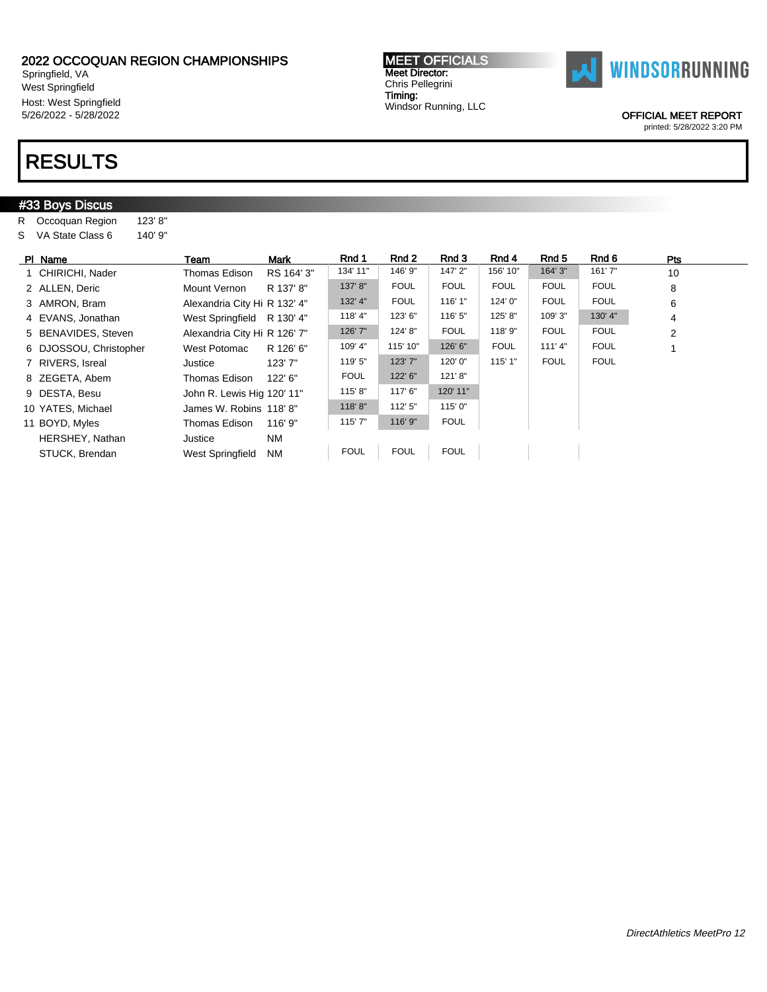Springfield, VA West Springfield Host: West Springfield 5/26/2022 - 5/28/2022

### RESULTS

### #33 Boys Discus R Occoquan Region 123' 8" S VA State Class 6 140' 9" Pl Name \_\_\_\_\_\_\_\_\_\_\_\_\_\_\_\_Team \_\_\_\_\_\_\_Mark \_\_\_\_\_\_Rnd 1 \_\_\_Rnd 2 \_\_\_Rnd 3 \_\_\_Rnd 4 \_\_\_Rnd 5 \_\_\_Rnd 6 \_\_\_\_\_\_\_Pts 1 CHIRICHI, Nader Thomas Edison RS 164' 3" 134' 11" | 146' 9" | 147' 2" | 156' 10" | 164' 3" | 161' 7" 10 2 ALLEN, Deric **Mount Vernon** R 137' 8" 137' 8" FOUL FOUL FOUL FOUL FOUL 6 8 3 AMRON, Bram Alexandria City Hi R 132' 4" | 132' 4" | FOUL | 116' 1" | 124' 0" | FOUL | FOUL | 6 4 EVANS, Jonathan West Springfield R 130' 4" 118' 4" 123' 6" | 116' 5" | 125' 8" | 109' 3" | 130' 4" | 4 5 BENAVIDES, Steven Alexandria City Hi R 126' 7" | 126' 7" | 124' 8" | FOUL | 118' 9" | FOUL | FOUL | 2 6 DJOSSOU, Christopher West Potomac R 126' 6" 109' 4" 115' 10" 126' 6" FOUL 111' 4" FOUL 1 7 RIVERS, Isreal Justice 123' 7" | 123' 7" | 120' 0" | 115' 1" | FOUL | FOUL 8 ZEGETA, Abem Thomas Edison 122' 6" FOUL 122' 6" 121' 8" 9 DESTA, Besu John R. Lewis Hig 120' 11" 115' 8" 117' 6" 120' 11" 10 YATES, Michael James W. Robins 118' 8" 118' 8" 112' 5" 115' 0" 11 BOYD, Myles **Thomas Edison** 116' 9" 115' 7" 116' 9" FOUL HERSHEY, Nathan Justice NM STUCK, Brendan West Springfield NM | FOUL | FOUL | FOUL

MEET OFFICIALS Meet Director: Chris Pellegrini Timing:

Windsor Running, LLC



OFFICIAL MEET REPORT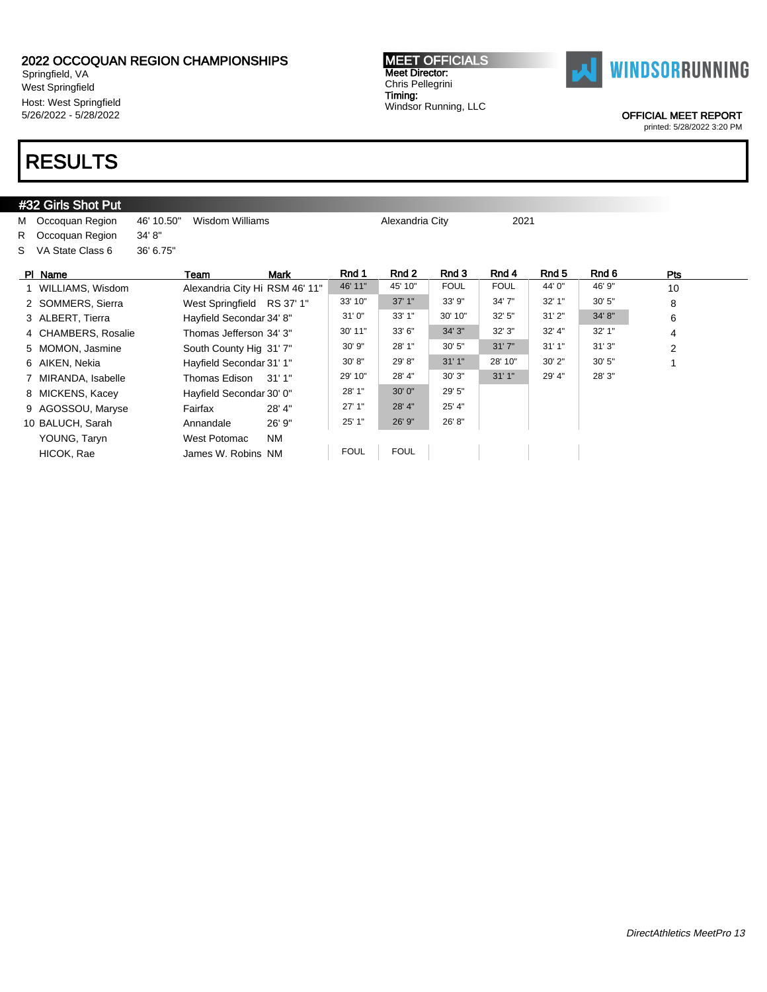Springfield, VA West Springfield Host: West Springfield 5/26/2022 - 5/28/2022

### RESULTS

#### #32 Girls Shot Put M Occoquan Region 46' 10.50" Wisdom Williams Machael Alexandria City 2021 R Occoquan Region 34' 8" S VA State Class 6 36' 6.75" Pl Name \_\_\_\_\_\_\_\_\_\_\_\_\_\_\_\_Team \_\_\_\_\_\_\_Mark \_\_\_\_\_\_Rnd 1 \_\_\_Rnd 2 \_\_\_Rnd 3 \_\_\_Rnd 4 \_\_\_Rnd 5 \_\_\_Rnd 6 \_\_\_\_\_\_\_Pts 1 WILLIAMS, Wisdom Alexandria City Hi RSM 46' 11" 46' 11" 45' 10" FOUL FOUL 44' 0" 46' 9" 10 2 SOMMERS, Sierra West Springfield RS 37' 1" 33' 10" 37' 1" 33' 9" 34' 7" 32' 1" 30' 5" 8 3 ALBERT, Tierra 

Hayfield Secondar 34' 8"  $31'0''$   $33'1''$   $30'10''$   $32'5''$   $31'2''$   $34'8''$ 6 4 CHAMBERS, Rosalie Thomas Jefferson 34' 3" 30' 11" 33' 6" 34' 3" 32' 3" 32' 4" 32' 1" 4 5 MOMON, Jasmine South County Hig 31' 7" 30' 9" 28' 1" 30' 5" 31' 7" 31' 1" 31' 3" 2 6 AIKEN, Nekia **Hayfield Secondar 31' 1"** 30' 8" 29' 8" 31' 1" 28' 10" 30' 2" 30' 5" 1 7 MIRANDA, Isabelle Thomas Edison 31' 1" 29' 10" 28' 4" 30' 3" 31' 1" 29' 4" 28' 3" 8 MICKENS, Kacey Hayfield Secondar 30' 0" 28' 1" 30' 0" 29' 5" 9 AGOSSOU, Maryse Fairfax 28' 4" 27' 1" 28' 4" 25' 4" 10 BALUCH, Sarah Annandale 26' 9" 25' 1" 26' 9" 26' 8" YOUNG, Taryn West Potomac NM HICOK, Rae James W. Robins NM FOUL FOUL

MEET OFFICIALS Meet Director: Chris Pellegrini Timing:

Windsor Running, LLC

OFFICIAL MEET REPORT printed: 5/28/2022 3:20 PM

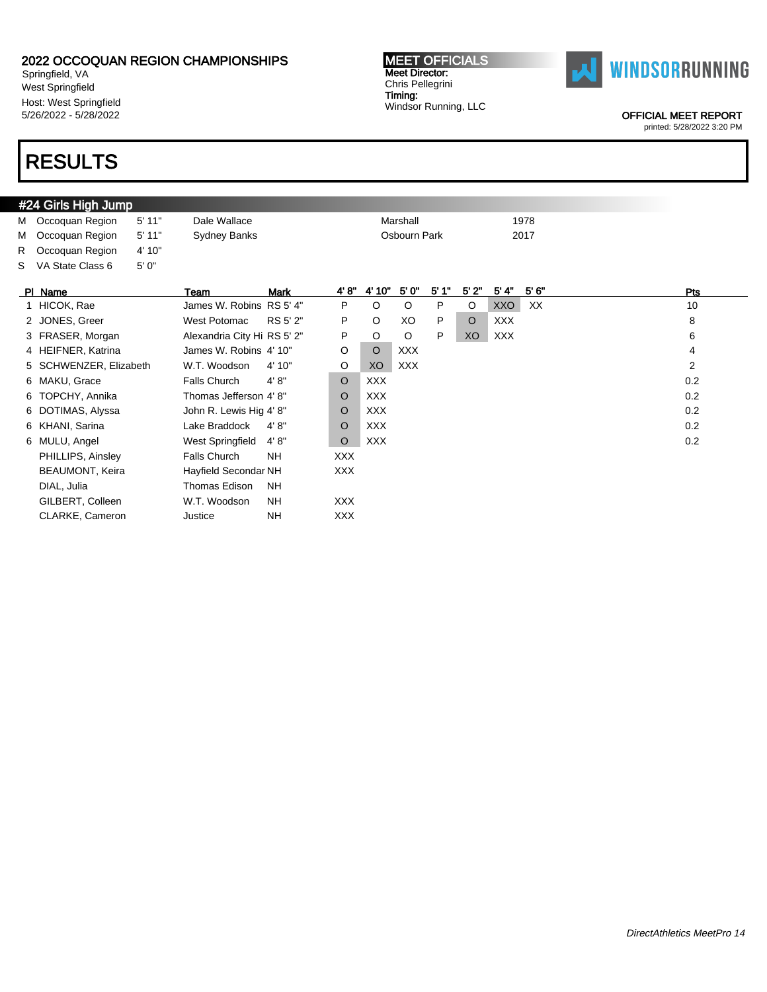Springfield, VA West Springfield Host: West Springfield 5/26/2022 - 5/28/2022

### RESULTS

#### #24 Girls High Jump M Occoquan Region 5' 11" Dale Wallace Marshall Marshall 1978 M Occoquan Region 5' 11" Sydney Banks Cosbourn Park 2017 R Occoquan Region 4' 10" S VA State Class 6 5' 0" Pl Name Team Mark 4' 8" 4' 10" 5' 0" 5' 1" 5' 2" 5' 4" 5' 6" Pts 1 HICOK, Rae James W. Robins RS 5' 4" P O O P O XXO XX 10 2 JONES, Greer 6 West Potomac RS 5' 2" P O XO P O XXX 8 8 3 FRASER, Morgan Alexandria City Hi RS 5' 2" P O O P XO XXX 4 HEIFNER, Katrina James W. Robins 4' 10" O O XXX 4 5 SCHWENZER, Elizabeth W.T. Woodson 4' 10" O XO XXX 2 6 MAKU, Grace Falls Church 4' 8" O XXX 0.2 6 TOPCHY, Annika Chomas Jefferson 4' 8" O XXX 0.2 6 DOTIMAS, Alyssa John R. Lewis Hig 4' 8" O XXX 0.2 6 KHANI, Sarina Lake Braddock 4' 8" O XXX 0.2 6 MULU, Angel West Springfield 4' 8" O XXX 0.2 PHILLIPS, Ainsley Falls Church NH XXX BEAUMONT, Keira Hayfield Secondar NH XXX DIAL, Julia Thomas Edison NH GILBERT, Colleen W.T. Woodson NH XXX CLARKE, Cameron Justice NH XXX

MEET OFFICIALS Meet Director: Chris Pellegrini Timing:

Windsor Running, LLC



OFFICIAL MEET REPORT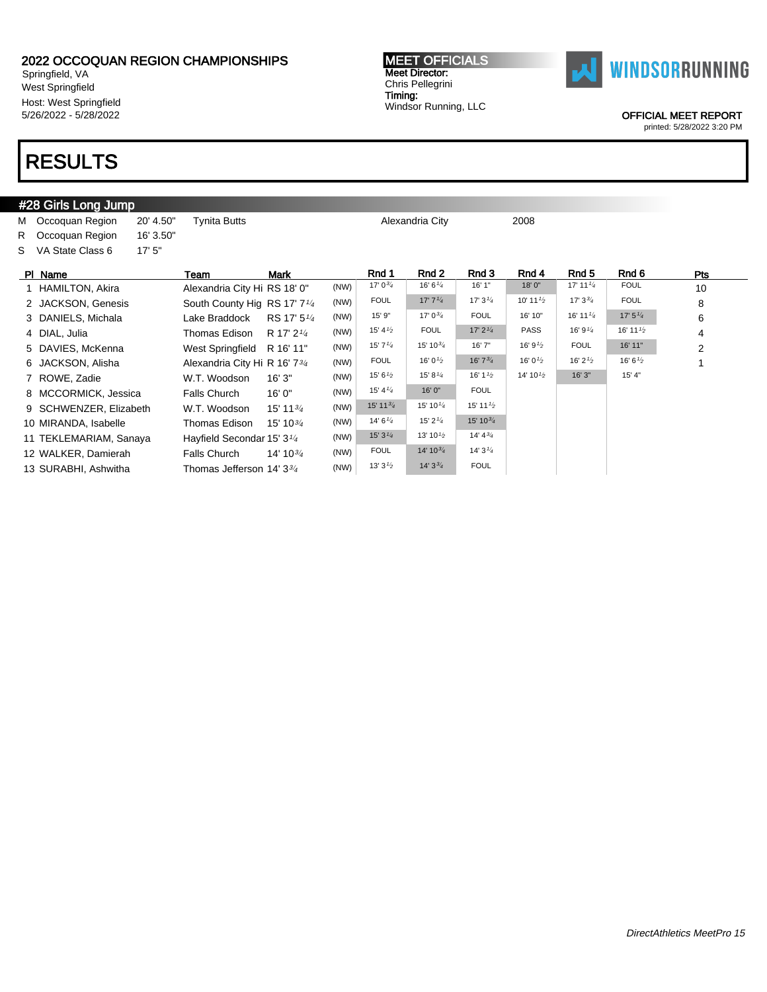Springfield, VA West Springfield Host: West Springfield 5/26/2022 - 5/28/2022

### RESULTS

#### #28 Girls Long Jump M Occoquan Region 20' 4.50" Tynita Butts Alexandria City 2008 R Occoquan Region 16' 3.50" S VA State Class 6 17' 5" Pl Name Team Mark Rnd 1 Rnd 2 Rnd 3 Rnd 4 Rnd 5 Rnd 6 Pts 1 HAMILTON, Akira Alexandria City Hi RS 18' 0" (NW) 17' 03/4 16' 6' 4 18' 0" 17' 11' 4 FOUL 10 2 JACKSON, Genesis South County Hig RS 17' 7<sup>1/4</sup> (NW) FOUL 17' 7<sup>1/4</sup> 17' 3<sup>1/4</sup> 10' 11<sup>1/</sup>2 17' 3<sup>3</sup>/<sub>4</sub> FOUL 8 3 DANIELS, Michala Lake Braddock RS 17' 51/<sup>4</sup>  $(NW)$  15' 9" 17' 0<sup>3/</sup>4 FOUL 16' 10" 16' 11<sup>1/</sup>4 17' 5<sup>1/</sup>4 6 4 DIAL, Julia Thomas Edison R 17' 21/<sup>4</sup>  $(NW)$  15' 4<sup>1/2</sup> FOUL 17' 2<sup>1/4</sup> PASS 16' 9<sup>1/4</sup> 16' 11<sup>1</sup><sup>2</sup> 4 5 DAVIES, McKenna West Springfield R 16' 11" (NW) 15' 7<sup>1/4</sup> 15' 10<sup>3/4</sup> 16' 7" 16' 9<sup>1/2</sup> FOUL 16' 11" 2 6 JACKSON, Alisha Alexandria City Hi R 16' 734  $(NW)$  FOUL 16' 0<sup>1/2</sup> 16' 7<sup>3/</sup>4 16' 0<sup>1/2</sup> 16' 2<sup>1/2</sup> 16' 6<sup>1/2</sup> 7 ROWE, Zadie **W.T. Woodson 16' 3"** (NW) 15' 6<sup>1</sup>/<sub>2</sub> 15' 8<sup>1</sup>/<sub>4</sub> 16' 1<sup>1</sup>/<sub>2</sub> 14' 10<sup>1</sup>/<sub>2</sub> 16' 3" 15' 4" 8 MCCORMICK, Jessica Falls Church 16' 0" (NW) 15' 41/4 16' 0" FOUL 9 SCHWENZER, Elizabeth W.T. Woodson 15' 1134 (NW) 15' 11<sup>3/4</sup> 15' 10<sup>1/4</sup> 15' 11<sup>1/2</sup> 10 MIRANDA, Isabelle Thomas Edison 15' 103/<sup>4</sup>  $(NW)$  14' 6<sup>1/4</sup> 15' 2<sup>1/4</sup> 15' 10<sup>3/4</sup> 11 TEKLEMARIAM, Sanaya Hayfield Secondar 15' 31/<sup>4</sup> (NW)  $15'3'4$  13'  $10^{1/2}$  14'  $4^{3/4}$ 12 WALKER, Damierah Falls Church 14' 10<sup>3/4</sup> (NW) FOUL 14' 10<sup>3/4</sup> 14' 3<sup>1/4</sup> 13 SURABHI, Ashwitha Thomas Jefferson 14' 33/<sup>4</sup>  $(NW)$  13' 3<sup>1</sup>/<sub>2</sub> 14' 3<sup>3</sup>/<sub>4</sub> FOUL

MEET OFFICIALS Meet Director: Chris Pellegrini Timing: Windsor Running, LLC



OFFICIAL MEET REPORT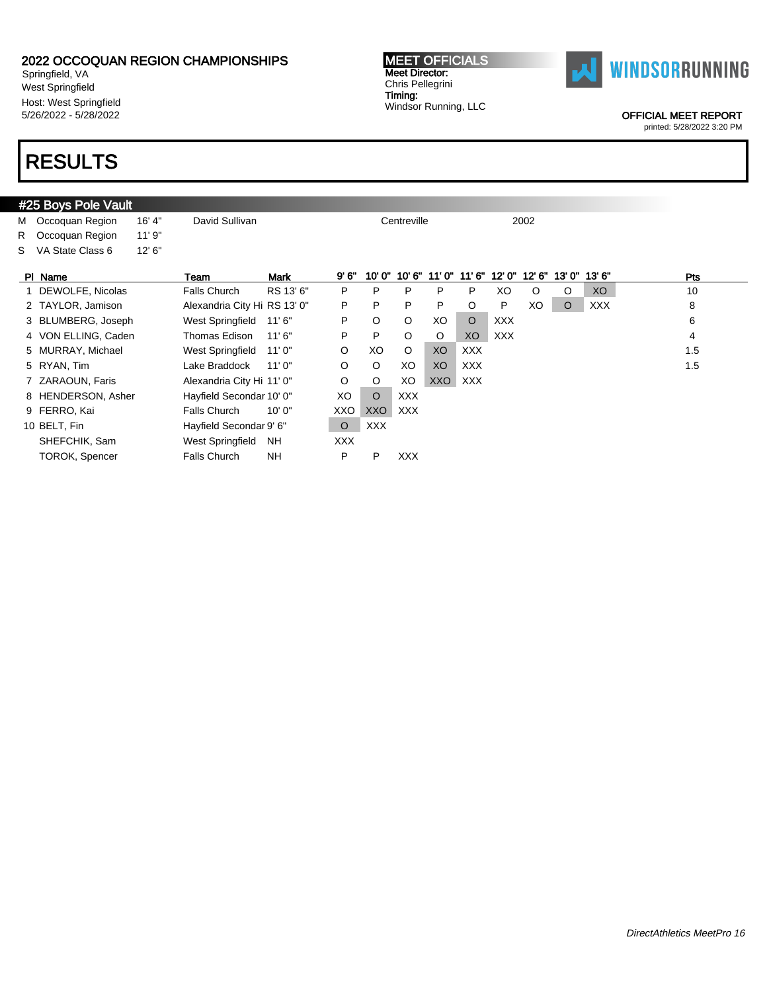Springfield, VA West Springfield Host: West Springfield 5/26/2022 - 5/28/2022

### RESULTS

### #25 Boys Pole Vault M Occoquan Region 16' 4" David Sullivan Christian Centreville 2002 R Occoquan Region 11' 9" S VA State Class 6 12' 6" PI Name Team Mark 9' 6" 10' 0" 10' 6" 11' 0" 11' 6" 12' 0" 13' 0" 13' 6" Pts 1 DEWOLFE, Nicolas Falls Church RS 13' 6" P P P P P XO O O XO 10 2 TAYLOR, Jamison Alexandria City Hi RS 13' 0" P P P P P O P XO O XXX 8 3 BLUMBERG, Joseph West Springfield 11'6" P O O XO O XXX 6 6 4 VON ELLING, Caden Thomas Edison 11' 6" P P O O XO XXX 4 4 5 MURRAY, Michael and West Springfield 11' 0" and O XO O XO XXX 1.5 5 RYAN, Tim Lake Braddock 11' 0" O O XO XO XXX 1.5 7 ZARAOUN, Faris **Alexandria City Hi 11' 0"** O O XO XXO XXX 8 HENDERSON, Asher Hayfield Secondar 10' 0" XO O XXX 9 FERRO, Kai Falls Church 10' 0" XXO XXO XXX 10 BELT, Fin **Hayfield Secondar 9' 6"** O XXX SHEFCHIK, Sam West Springfield NH XXX TOROK, Spencer Falls Church NH P P XXX



OFFICIAL MEET REPORT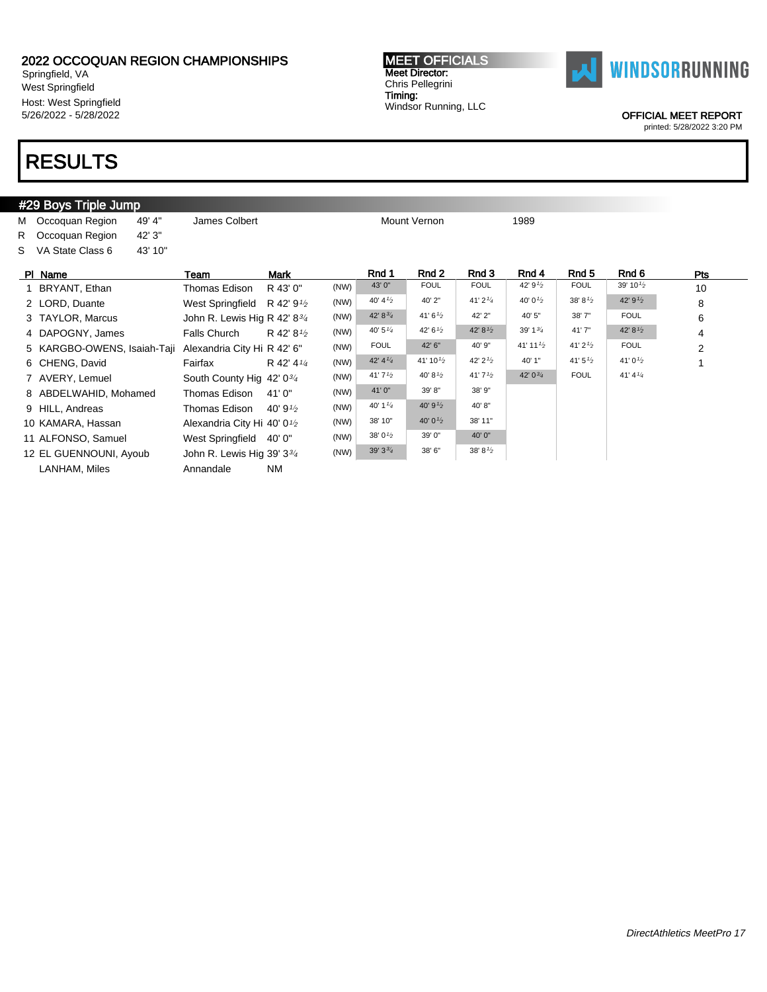Springfield, VA West Springfield Host: West Springfield 5/26/2022 - 5/28/2022

### RESULTS

#### #29 Boys Triple Jump M Occoquan Region 49' 4" James Colbert Mount Vernon Mount Vernon 1989 R Occoquan Region 42' 3" S VA State Class 6 43' 10" Pl Name Team Mark Rnd 1 Rnd 2 Rnd 3 Rnd 4 Rnd 5 Rnd 6 Pts 1 BRYANT, Ethan Thomas Edison R 43' 0" (NW) 43' 0" FOUL FOUL 42' 9<sup>1</sup>/2 FOUL 39' 10<sup>1/2</sup> 10 2 LORD, Duante West Springfield R 42' 9<sup>1/2</sup>  $(NW)$  40' 4<sup>1'</sup> 2 40' 2" 41' 2<sup>1'</sup> 40' 0<sup>1'</sup> 38' 8<sup>1'</sup> 42' 9<sup>1'</sup> 8 3 TAYLOR, Marcus John R. Lewis Hig R 42' 83/<sup>4</sup> (NW)  $42' 8^{3/4}$   $41' 6^{1/2}$   $42' 2''$   $40' 5''$  38' 7" FOUL 6 4 DAPOGNY, James Falls Church R 42' 8<sup>1/2</sup>  $(NW)$  40' 5<sup>1/4</sup> 42' 6<sup>1/2</sup> 42' 8<sup>1</sup>/<sub>2</sub> 39' 1<sup>3/4</sup> 41' 7" 42' 8<sup>1</sup>/<sub>2</sub> 4 5 KARGBO-OWENS, Isaiah-Taji Alexandria City Hi R 42' 6" (NW) FOUL 42' 6" 40' 9" 41' 11<sup>1</sup>2 41' 2<sup>1</sup>2 FOUL 2 6 CHENG, David Fairfax R 42' 41/4 (NW)  $42' 4^{1/4}$   $41' 10^{1/2}$   $42' 2^{1/2}$   $40' 1''$   $41' 5^{1/2}$   $41' 0^{1/2}$  1 7 AVERY, Lemuel South County Hig 42' 03/4  $(NW)$  41' 7<sup>1</sup>/2 40' 8<sup>1</sup>/2 41' 7<sup>1</sup>/2 42' 0<sup>3</sup>/<sub>4</sub> FOUL 41' 4<sup>1</sup>/<sub>4</sub> 8 ABDELWAHID, Mohamed Thomas Edison 41' 0" (NW) 41' 0" 39' 8" 38' 9" 9 HILL, Andreas Thomas Edison 40' 9<sup>1/2</sup>  $(NW)$  40' 1<sup>1/4</sup> 40' 9<sup>1</sup>/<sub>2</sub> 40' 8" 10 KAMARA, Hassan Alexandria City Hi 40' 0<sup>1/2</sup>  $(NW)$  38' 10" 40' 0<sup>1</sup>/<sub>2</sub> 38' 11" 11 ALFONSO, Samuel West Springfield  $40'0''$  (NW)  $38'0^{1/2}$   $39'0''$   $40'0''$ 12 EL GUENNOUNI, Ayoub John R. Lewis Hig 39' 33/<sup>4</sup> (NW)  $39'3^{3}/4$   $38'6''$   $38'8^{1}/2$ LANHAM, Miles **Annandale** NM

MEET OFFICIALS Meet Director: Chris Pellegrini Timing: Windsor Running, LLC



OFFICIAL MEET REPORT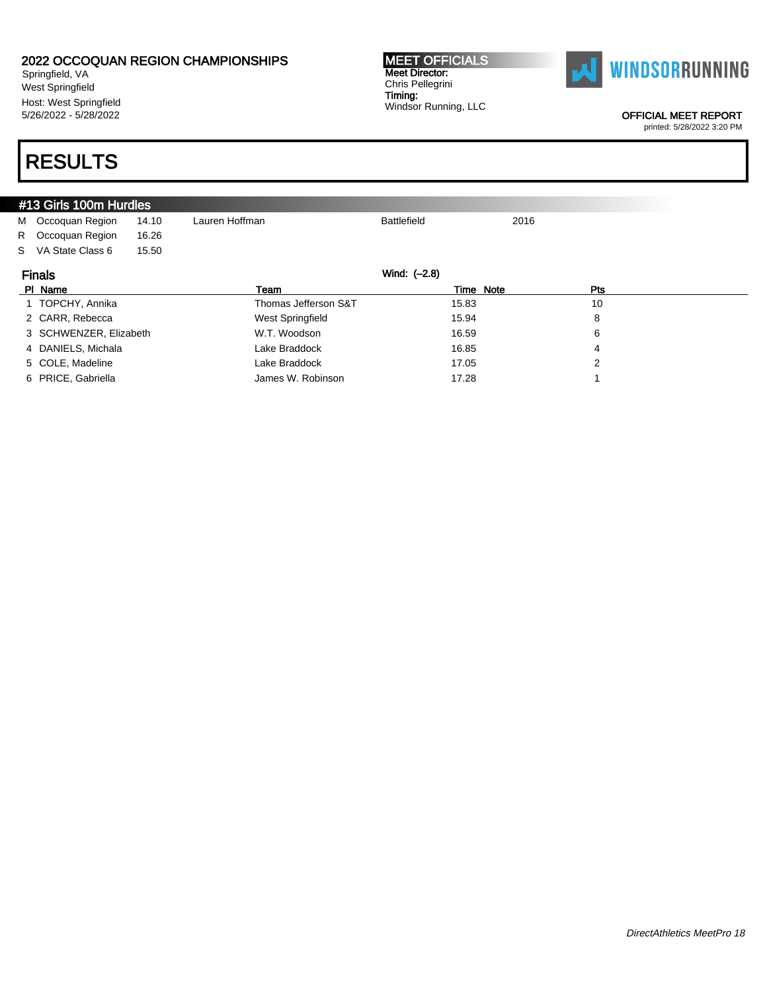Springfield, VA West Springfield Host: West Springfield 5/26/2022 - 5/28/2022

# RESULTS

|                               | #13 Girls 100m Hurdles |       |                      |                    |      |     |  |
|-------------------------------|------------------------|-------|----------------------|--------------------|------|-----|--|
|                               | M Occoquan Region      | 14.10 | Lauren Hoffman       | <b>Battlefield</b> | 2016 |     |  |
| R                             | Occoquan Region        | 16.26 |                      |                    |      |     |  |
| S.                            | VA State Class 6       | 15.50 |                      |                    |      |     |  |
| Wind: (-2.8)<br><b>Finals</b> |                        |       |                      |                    |      |     |  |
|                               |                        |       |                      |                    |      |     |  |
|                               | PI Name                |       | Team                 | Time Note          |      | Pts |  |
|                               | 1 TOPCHY, Annika       |       | Thomas Jefferson S&T | 15.83              |      | 10  |  |
|                               | 2 CARR, Rebecca        |       | West Springfield     | 15.94              |      | 8   |  |
|                               | 3 SCHWENZER, Elizabeth |       | W.T. Woodson         | 16.59              |      | 6   |  |

5 COLE, Madeline Lake Braddock 17.05 2

6 PRICE, Gabriella **17.28** 1

OFFICIAL MEET REPORT

printed: 5/28/2022 3:20 PM



MEET OFFICIALS Meet Director: Chris Pellegrini Timing: Windsor Running, LLC

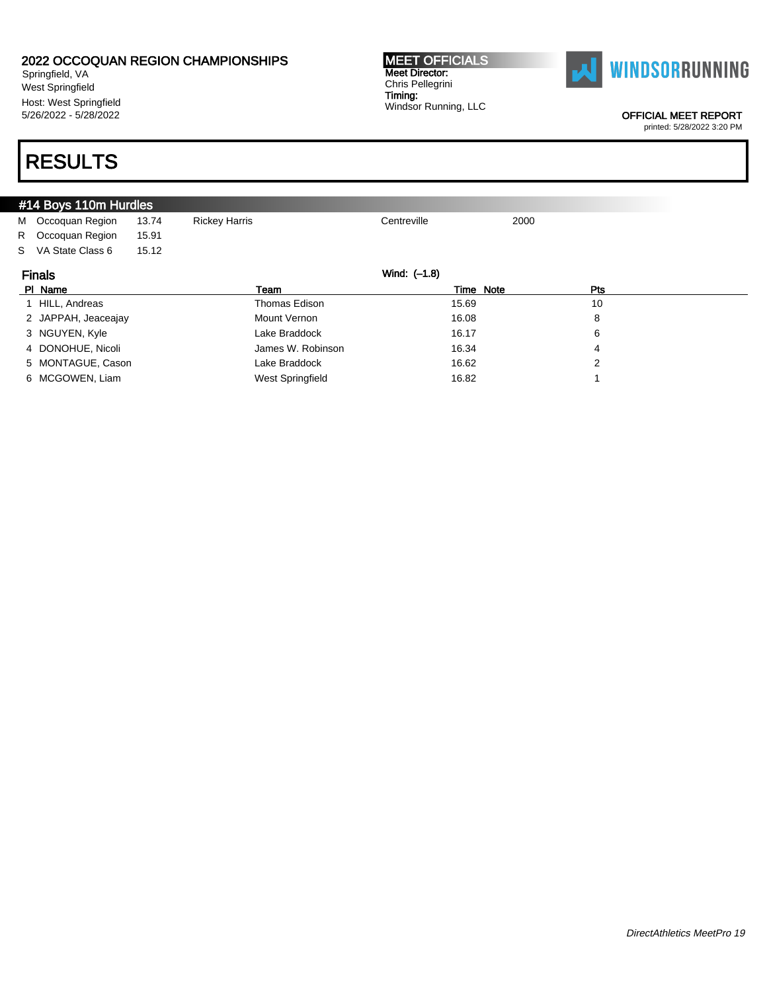Springfield, VA West Springfield Host: West Springfield 5/26/2022 - 5/28/2022

# RESULTS

| #14 Boys 110m Hurdles |       |                      |             |           |            |  |
|-----------------------|-------|----------------------|-------------|-----------|------------|--|
| M Occoquan Region     | 13.74 | <b>Rickey Harris</b> | Centreville | 2000      |            |  |
| R Occoquan Region     | 15.91 |                      |             |           |            |  |
| S VA State Class 6    | 15.12 |                      |             |           |            |  |
| <b>Finals</b>         |       | Wind: (-1.8)         |             |           |            |  |
| PI Name               |       | Team                 |             | Time Note | <b>Pts</b> |  |
| 1 HILL, Andreas       |       | Thomas Edison        |             | 15.69     | 10         |  |
| 2 JAPPAH, Jeaceajay   |       | <b>Mount Vernon</b>  |             | 16.08     | 8          |  |
| 3 NGUYEN, Kyle        |       | Lake Braddock        |             | 16.17     | 6          |  |
| 4 DONOHUE, Nicoli     |       | James W. Robinson    |             | 16.34     | 4          |  |
| 5 MONTAGUE, Cason     |       | Lake Braddock        |             | 16.62     | 2          |  |
| 6 MCGOWEN, Liam       |       | West Springfield     |             | 16.82     |            |  |

Meet Director: Chris Pellegrini Timing:

OFFICIAL MEET REPORT printed: 5/28/2022 3:20 PM

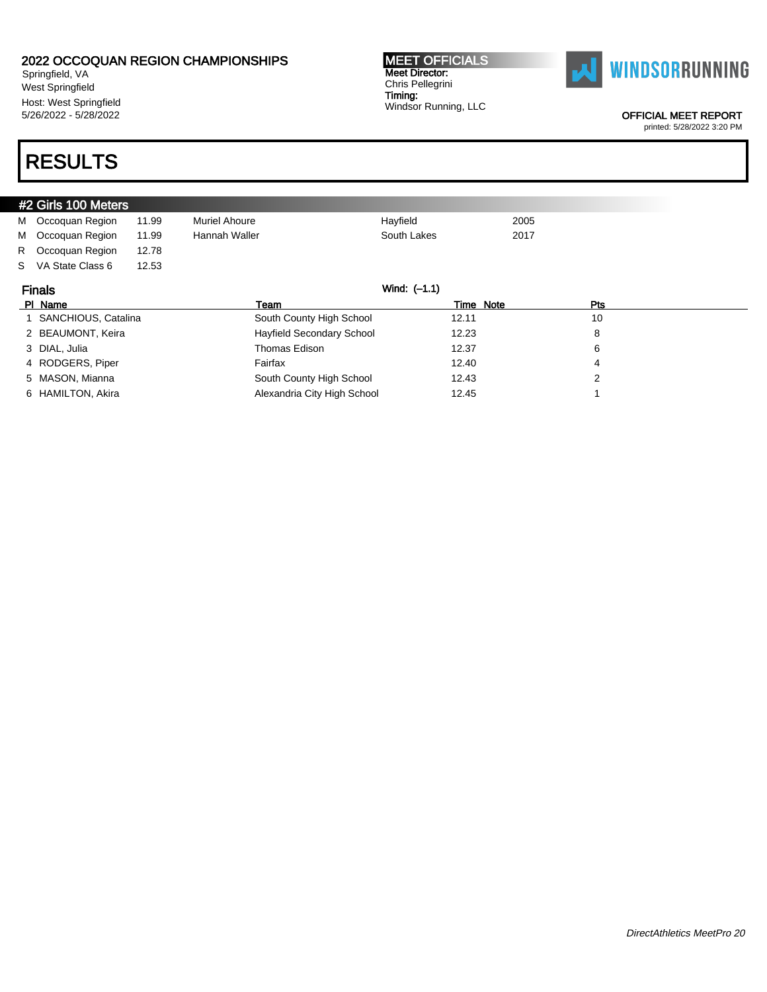Springfield, VA West Springfield Host: West Springfield 5/26/2022 - 5/28/2022

# RESULTS

|    | #2 Girls 100 Meters   |       |                           |              |           |      |     |
|----|-----------------------|-------|---------------------------|--------------|-----------|------|-----|
|    | M Occoquan Region     | 11.99 | <b>Muriel Ahoure</b>      | Hayfield     |           | 2005 |     |
| м  | Occoquan Region       | 11.99 | Hannah Waller             | South Lakes  |           | 2017 |     |
| R. | Occoquan Region       | 12.78 |                           |              |           |      |     |
| S. | VA State Class 6      | 12.53 |                           |              |           |      |     |
|    | <b>Finals</b>         |       |                           | Wind: (-1.1) |           |      |     |
|    | PI Name               |       | Team                      |              | Time Note |      | Pts |
|    | 1 SANCHIOUS, Catalina |       | South County High School  |              | 12.11     |      | 10  |
|    |                       |       |                           |              |           |      |     |
|    | 2 BEAUMONT, Keira     |       | Hayfield Secondary School |              | 12.23     |      | 8   |
|    | 3 DIAL, Julia         |       | Thomas Edison             |              | 12.37     |      | 6   |

5 MASON, Mianna **South County High School** 12.43 2 6 HAMILTON, Akira **Alexandria City High School** 12.45 1

MEET OFFICIALS Meet Director: Chris Pellegrini Timing: Windsor Running, LLC



OFFICIAL MEET REPORT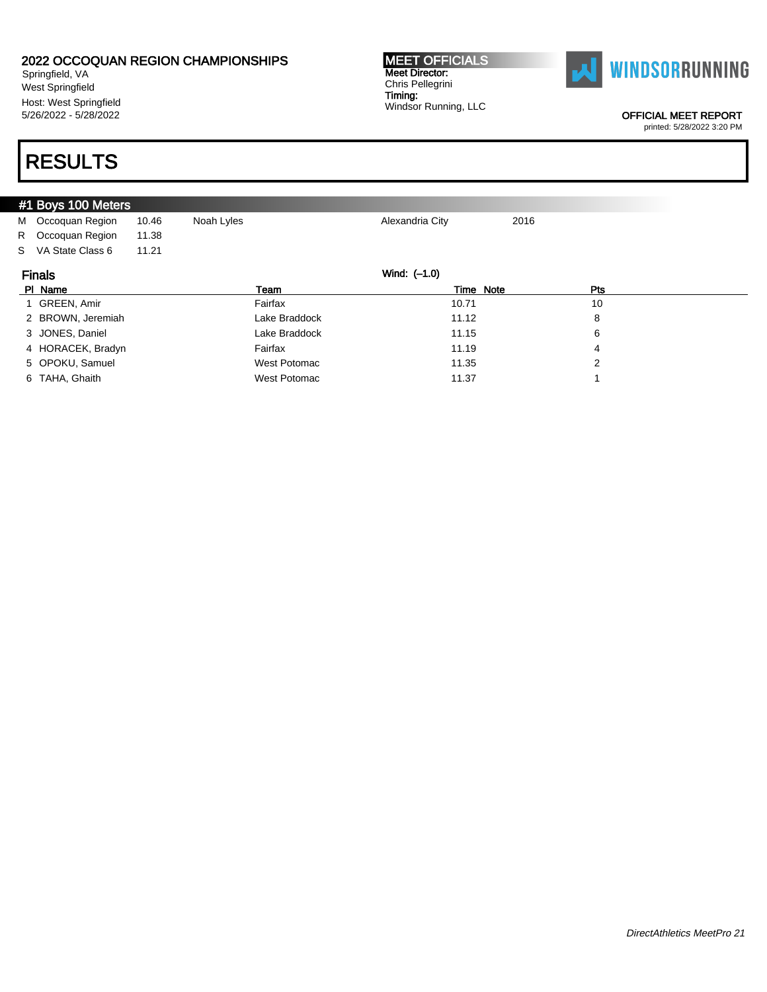Springfield, VA West Springfield Host: West Springfield 5/26/2022 - 5/28/2022

# RESULTS

|                               | #1 Boys 100 Meters |       |               |                 |      |  |  |
|-------------------------------|--------------------|-------|---------------|-----------------|------|--|--|
|                               | M Occoquan Region  | 10.46 | Noah Lyles    | Alexandria City | 2016 |  |  |
|                               | R Occoquan Region  | 11.38 |               |                 |      |  |  |
|                               | S VA State Class 6 | 11.21 |               |                 |      |  |  |
| Wind: (-1.0)<br><b>Finals</b> |                    |       |               |                 |      |  |  |
|                               | PI Name            |       | Team          | Time Note       | Pts  |  |  |
|                               | 1 GREEN, Amir      |       | Fairfax       | 10.71           | 10   |  |  |
|                               | 2 BROWN, Jeremiah  |       | Lake Braddock | 11.12           | 8    |  |  |
|                               | 3 JONES, Daniel    |       | Lake Braddock | 11.15           | 6    |  |  |
|                               | 4 HORACEK, Bradyn  |       | Fairfax       | 11.19           | 4    |  |  |
|                               | 5 OPOKU, Samuel    |       | West Potomac  | 11.35           | 2    |  |  |
|                               | 6 TAHA, Ghaith     |       | West Potomac  | 11.37           |      |  |  |

MEET OFFICIALS Meet Director: Chris Pellegrini Timing:

Windsor Running, LLC

OFFICIAL MEET REPORT

**WINDSORRUNNING**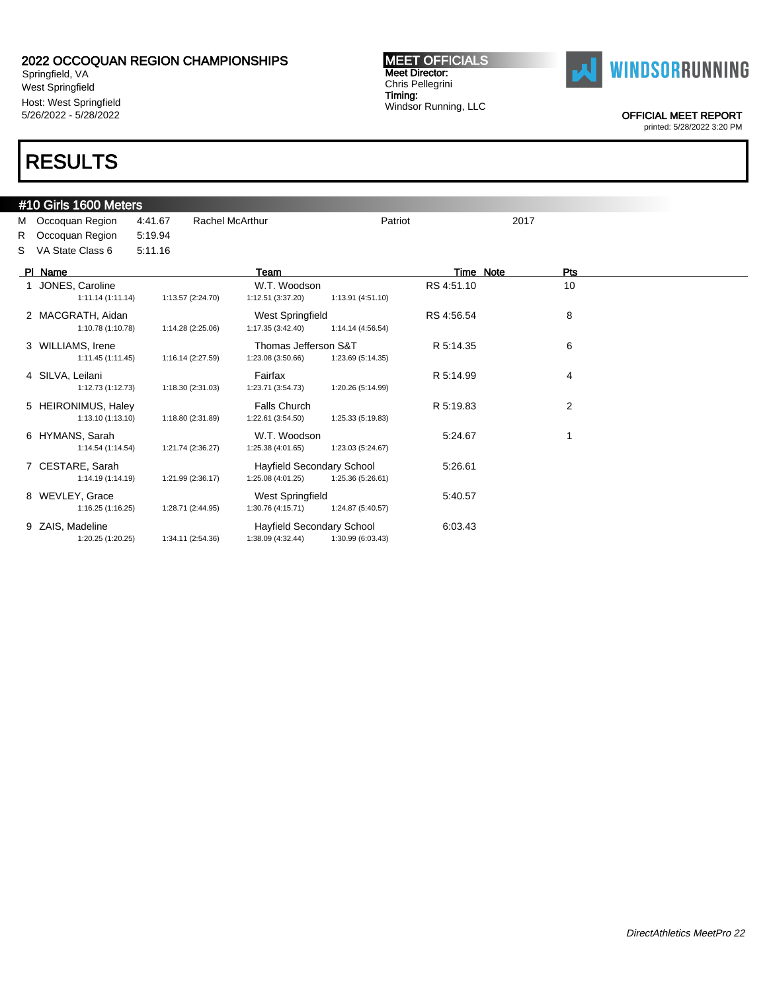Springfield, VA West Springfield Host: West Springfield 5/26/2022 - 5/28/2022

# RESULTS

#### #10 Girls 1600 Meters

M Occoquan Region 4:41.67 Rachel McArthur Patriot Patriot 2017 R Occoquan Region 5:19.94 S VA State Class 6 5:11.16

| PI Name                                 |                   | Team                                                  |                   | Time Note  | Pts |  |
|-----------------------------------------|-------------------|-------------------------------------------------------|-------------------|------------|-----|--|
| JONES, Caroline<br>1:11.14(1:11.14)     | 1:13.57 (2:24.70) | W.T. Woodson<br>1:12.51 (3:37.20)                     | 1:13.91 (4:51.10) | RS 4:51.10 | 10  |  |
| 2 MACGRATH, Aidan<br>1:10.78 (1:10.78)  | 1:14.28 (2:25.06) | West Springfield<br>1:17.35 (3:42.40)                 | 1:14.14 (4:56.54) | RS 4:56.54 | 8   |  |
| 3 WILLIAMS, Irene<br>1:11.45 (1:11.45)  | 1:16.14 (2:27.59) | Thomas Jefferson S&T<br>1:23.08 (3:50.66)             | 1:23.69 (5:14.35) | R 5:14.35  | 6   |  |
| 4 SILVA, Leilani<br>1:12.73(1:12.73)    | 1:18.30 (2:31.03) | Fairfax<br>1:23.71 (3:54.73)                          | 1:20.26 (5:14.99) | R 5:14.99  | 4   |  |
| 5 HEIRONIMUS, Haley<br>1:13.10(1:13.10) | 1:18.80 (2:31.89) | <b>Falls Church</b><br>1:22.61 (3:54.50)              | 1:25.33 (5:19.83) | R 5:19.83  | 2   |  |
| 6 HYMANS, Sarah<br>1:14.54 (1:14.54)    | 1:21.74 (2:36.27) | W.T. Woodson<br>1:25.38 (4:01.65)                     | 1:23.03 (5:24.67) | 5:24.67    |     |  |
| 7 CESTARE, Sarah<br>1:14.19 (1:14.19)   | 1:21.99 (2:36.17) | <b>Hayfield Secondary School</b><br>1:25.08 (4:01.25) | 1:25.36 (5:26.61) | 5:26.61    |     |  |
| 8 WEVLEY, Grace<br>1:16.25 (1:16.25)    | 1:28.71 (2:44.95) | <b>West Springfield</b><br>1:30.76 (4:15.71)          | 1:24.87 (5:40.57) | 5:40.57    |     |  |
| 9 ZAIS, Madeline<br>1:20.25 (1:20.25)   | 1:34.11 (2:54.36) | <b>Hayfield Secondary School</b><br>1:38.09 (4:32.44) | 1:30.99 (6:03.43) | 6:03.43    |     |  |

MEET OFFICIALS Meet Director: Chris Pellegrini Timing: Windsor Running, LLC



OFFICIAL MEET REPORT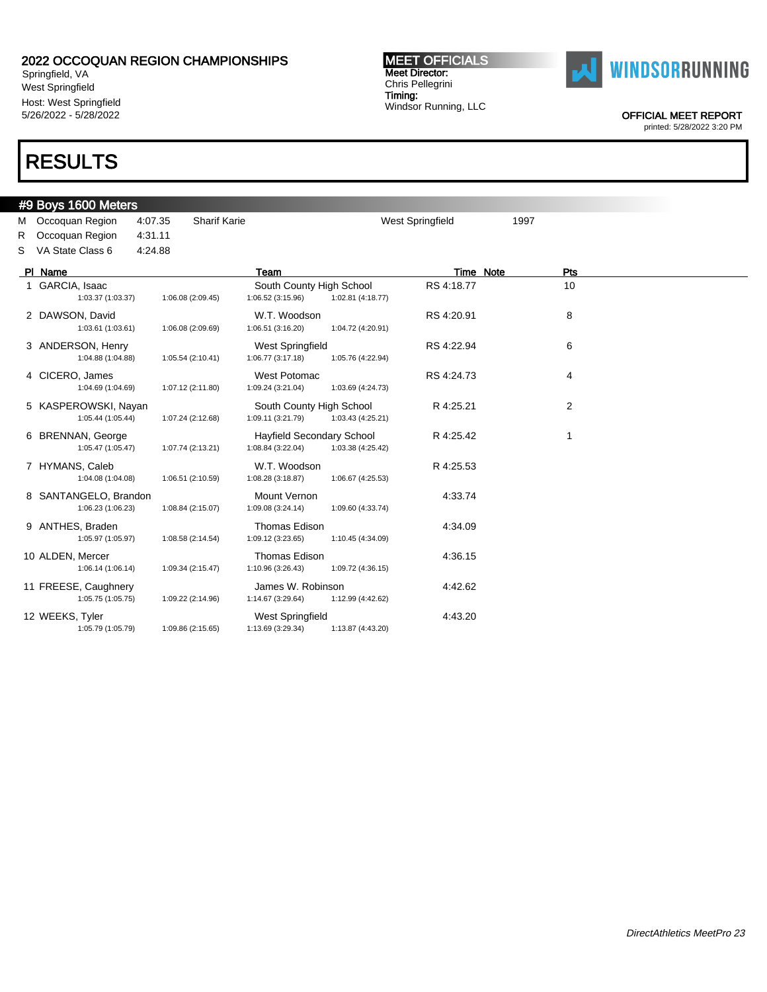Springfield, VA West Springfield Host: West Springfield 5/26/2022 - 5/28/2022

### RESULTS

#### #9 Boys 1600 Meters

M Occoquan Region 4:07.35 Sharif Karie West Springfield 1997 R Occoquan Region 4:31.11 S VA State Class 6 4:24.88

| PI Name                                    |                   | Team                                                 |                   | Time Note  | <b>Pts</b> |  |
|--------------------------------------------|-------------------|------------------------------------------------------|-------------------|------------|------------|--|
| 1 GARCIA, Isaac<br>1:03.37 (1:03.37)       | 1:06.08 (2:09.45) | South County High School<br>1:06.52(3:15.96)         | 1:02.81 (4:18.77) | RS 4:18.77 | 10         |  |
| 2 DAWSON, David<br>1:03.61 (1:03.61)       | 1:06.08 (2:09.69) | W.T. Woodson<br>1:06.51(3:16.20)                     | 1:04.72 (4:20.91) | RS 4:20.91 | 8          |  |
| 3 ANDERSON, Henry<br>1:04.88 (1:04.88)     | 1:05.54(2:10.41)  | <b>West Springfield</b><br>1:06.77(3:17.18)          | 1:05.76 (4:22.94) | RS 4:22.94 | 6          |  |
| 4 CICERO, James<br>1:04.69 (1:04.69)       | 1:07.12 (2:11.80) | West Potomac<br>1:09.24 (3:21.04)                    | 1:03.69 (4:24.73) | RS 4:24.73 | 4          |  |
| 5 KASPEROWSKI, Nayan<br>1:05.44 (1:05.44)  | 1:07.24 (2:12.68) | South County High School<br>1:09.11 (3:21.79)        | 1:03.43 (4:25.21) | R 4:25.21  | 2          |  |
| 6 BRENNAN, George<br>1:05.47 (1:05.47)     | 1:07.74 (2:13.21) | <b>Hayfield Secondary School</b><br>1:08.84(3:22.04) | 1:03.38 (4:25.42) | R 4:25.42  |            |  |
| 7 HYMANS, Caleb<br>1:04.08 (1:04.08)       | 1:06.51 (2:10.59) | W.T. Woodson<br>1:08.28 (3:18.87)                    | 1:06.67 (4:25.53) | R 4:25.53  |            |  |
| 8 SANTANGELO, Brandon<br>1:06.23 (1:06.23) | 1:08.84 (2:15.07) | Mount Vernon<br>1:09.08 (3:24.14)                    | 1:09.60 (4:33.74) | 4:33.74    |            |  |
| 9 ANTHES, Braden<br>1:05.97 (1:05.97)      | 1:08.58 (2:14.54) | <b>Thomas Edison</b><br>1:09.12 (3:23.65)            | 1:10.45 (4:34.09) | 4:34.09    |            |  |
| 10 ALDEN, Mercer<br>1:06.14(1:06.14)       | 1:09.34 (2:15.47) | <b>Thomas Edison</b><br>1:10.96 (3:26.43)            | 1:09.72 (4:36.15) | 4:36.15    |            |  |
| 11 FREESE, Caughnery<br>1:05.75 (1:05.75)  | 1:09.22 (2:14.96) | James W. Robinson<br>1:14.67 (3:29.64)               | 1:12.99 (4:42.62) | 4:42.62    |            |  |
| 12 WEEKS, Tyler<br>1:05.79 (1:05.79)       | 1:09.86 (2:15.65) | <b>West Springfield</b><br>1:13.69 (3:29.34)         | 1:13.87 (4:43.20) | 4:43.20    |            |  |

MEET OFFICIALS Meet Director: Chris Pellegrini Timing: Windsor Running, LLC



OFFICIAL MEET REPORT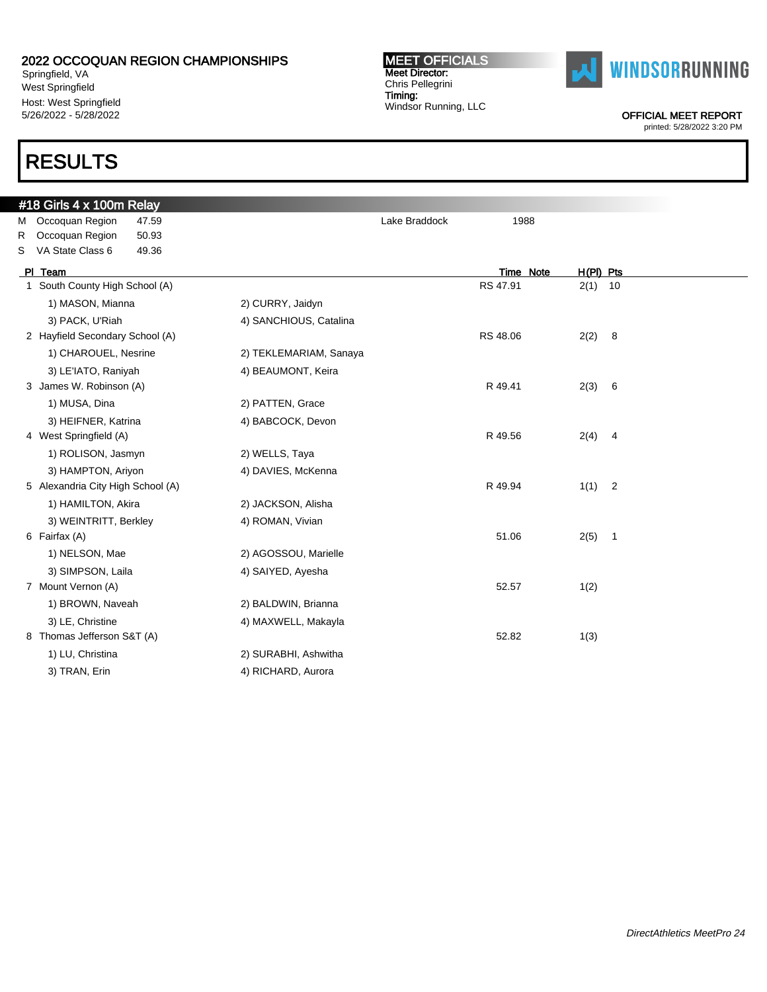Springfield, VA West Springfield Host: West Springfield 5/26/2022 - 5/28/2022

### RESULTS

### #18 Girls 4 x 100m Relay M Occoquan Region 47.59 **M** Occoquan Region 47.59 R Occoquan Region 50.93 S VA State Class 6 49.36 Pl Team Time Note H(Pl) Pts 1 South County High School (A) 2(1) 10 1) MASON, Mianna 2) CURRY, Jaidyn 3) PACK, U'Riah 4) SANCHIOUS, Catalina 2 Hayfield Secondary School (A) 22 Hayfield Secondary School (A) 22 RS 48.06 2(2) 8 1) CHAROUEL, Nesrine 2) TEKLEMARIAM, Sanaya 3) LE'IATO, Raniyah 4) BEAUMONT, Keira 3 James W. Robinson (A) 2(3) 6 (3) 8 (3) 8 (3) 8 (4) 8 (4) 8 (4) 8 (4) 8 (4) 8 (4) 8 (5) 8 (5) 8 (5) 8 (5) 8 (5) 8 (5) 8 (5) 8 (5) 8 (5) 8 (5) 8 (5) 8 (5) 8 (5) 8 (5) 8 (5) 8 (5) 8 (5) 8 (5) 8 (5) 8 (5) 8 (5) 8 (5) 8 (5) 8 1) MUSA, Dina 2) PATTEN, Grace 3) HEIFNER, Katrina 4) BABCOCK, Devon 4 West Springfield (A) 2(4) 4 Nest Springfield (A) 2(4) 4 1) ROLISON, Jasmyn 2) WELLS, Taya 3) HAMPTON, Ariyon 4) DAVIES, McKenna 5 Alexandria City High School (A) 8 and 5 R 49.94 1(1) 2 1) HAMILTON, Akira 2) JACKSON, Alisha 3) WEINTRITT, Berkley 4) ROMAN, Vivian 6 Fairfax (A) 51.06 2(5) 1 1) NELSON, Mae 2) AGOSSOU, Marielle 3) SIMPSON, Laila 4) SAIYED, Ayesha 7 Mount Vernon (A) 52.57 1(2) 1) BROWN, Naveah 2) BALDWIN, Brianna 3) LE, Christine **4) MAXWELL**, Makayla 8 Thomas Jefferson S&T (A) 52.82 1(3) 1) LU, Christina 2) SURABHI, Ashwitha

MEET OFFICIALS Meet Director: Chris Pellegrini Timing:

Windsor Running, LLC

3) TRAN, Erin 4) RICHARD, Aurora



**WINDSORRUNNING** 

OFFICIAL MEET REPORT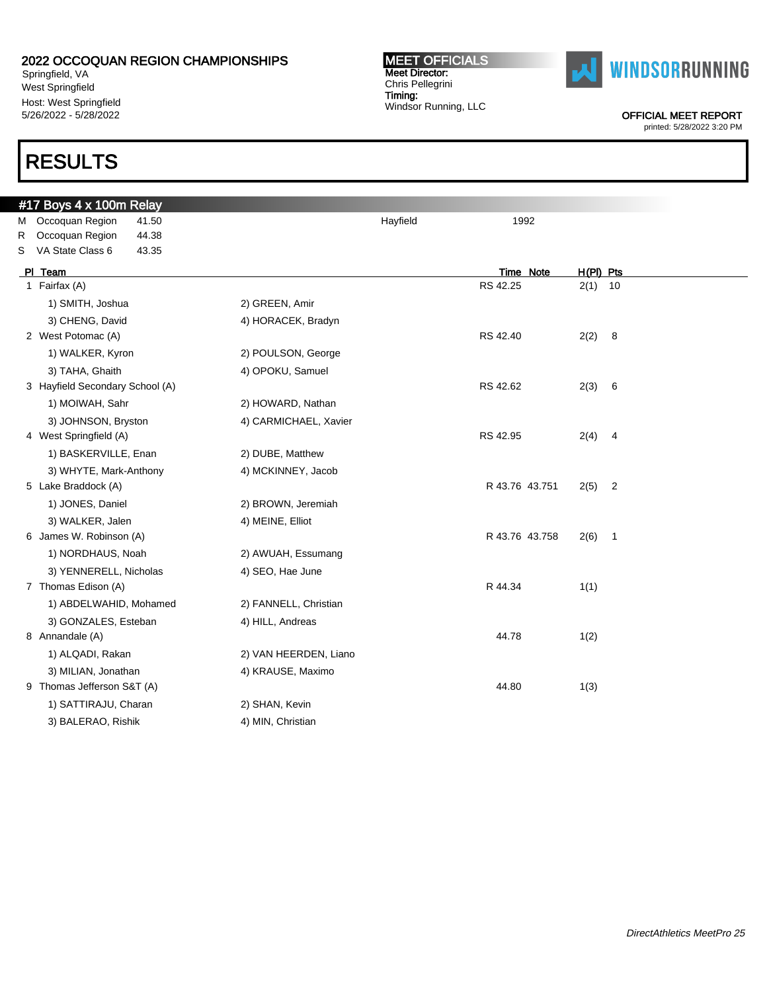Springfield, VA West Springfield Host: West Springfield 5/26/2022 - 5/28/2022

# RESULTS

#### MEET OFFICIALS Meet Director: Chris Pellegrini Timing: Windsor Running, LLC



OFFICIAL MEET REPORT

| #17 Boys 4 x 100m Relay         |                       |          |                |           |                          |
|---------------------------------|-----------------------|----------|----------------|-----------|--------------------------|
| M Occoquan Region<br>41.50      |                       | Hayfield | 1992           |           |                          |
| R Occoquan Region<br>44.38      |                       |          |                |           |                          |
| VA State Class 6<br>43.35<br>S  |                       |          |                |           |                          |
| PI Team                         |                       |          | Time Note      | H(PI) Pts |                          |
| 1 Fairfax (A)                   |                       |          | RS 42.25       | $2(1)$ 10 |                          |
| 1) SMITH, Joshua                | 2) GREEN, Amir        |          |                |           |                          |
| 3) CHENG, David                 | 4) HORACEK, Bradyn    |          |                |           |                          |
| 2 West Potomac (A)              |                       |          | RS 42.40       | 2(2)      | $_{8}$                   |
| 1) WALKER, Kyron                | 2) POULSON, George    |          |                |           |                          |
| 3) TAHA, Ghaith                 | 4) OPOKU, Samuel      |          |                |           |                          |
| 3 Hayfield Secondary School (A) |                       |          | RS 42.62       | 2(3)      | $6\overline{6}$          |
| 1) MOIWAH, Sahr                 | 2) HOWARD, Nathan     |          |                |           |                          |
| 3) JOHNSON, Bryston             | 4) CARMICHAEL, Xavier |          |                |           |                          |
| 4 West Springfield (A)          |                       |          | RS 42.95       | 2(4)      | $\overline{\phantom{a}}$ |
| 1) BASKERVILLE, Enan            | 2) DUBE, Matthew      |          |                |           |                          |
| 3) WHYTE, Mark-Anthony          | 4) MCKINNEY, Jacob    |          |                |           |                          |
| 5 Lake Braddock (A)             |                       |          | R 43.76 43.751 | 2(5)      | $\overline{\phantom{a}}$ |
| 1) JONES, Daniel                | 2) BROWN, Jeremiah    |          |                |           |                          |
| 3) WALKER, Jalen                | 4) MEINE, Elliot      |          |                |           |                          |
| 6 James W. Robinson (A)         |                       |          | R 43.76 43.758 | $2(6)$ 1  |                          |
| 1) NORDHAUS, Noah               | 2) AWUAH, Essumang    |          |                |           |                          |
| 3) YENNERELL, Nicholas          | 4) SEO, Hae June      |          |                |           |                          |
| 7 Thomas Edison (A)             |                       |          | R 44.34        | 1(1)      |                          |
| 1) ABDELWAHID, Mohamed          | 2) FANNELL, Christian |          |                |           |                          |
| 3) GONZALES, Esteban            | 4) HILL, Andreas      |          |                |           |                          |
| 8 Annandale (A)                 |                       |          | 44.78          | 1(2)      |                          |
| 1) ALQADI, Rakan                | 2) VAN HEERDEN, Liano |          |                |           |                          |
| 3) MILIAN, Jonathan             | 4) KRAUSE, Maximo     |          |                |           |                          |
| 9 Thomas Jefferson S&T (A)      |                       |          | 44.80          | 1(3)      |                          |
| 1) SATTIRAJU, Charan            | 2) SHAN, Kevin        |          |                |           |                          |
| 3) BALERAO, Rishik              | 4) MIN, Christian     |          |                |           |                          |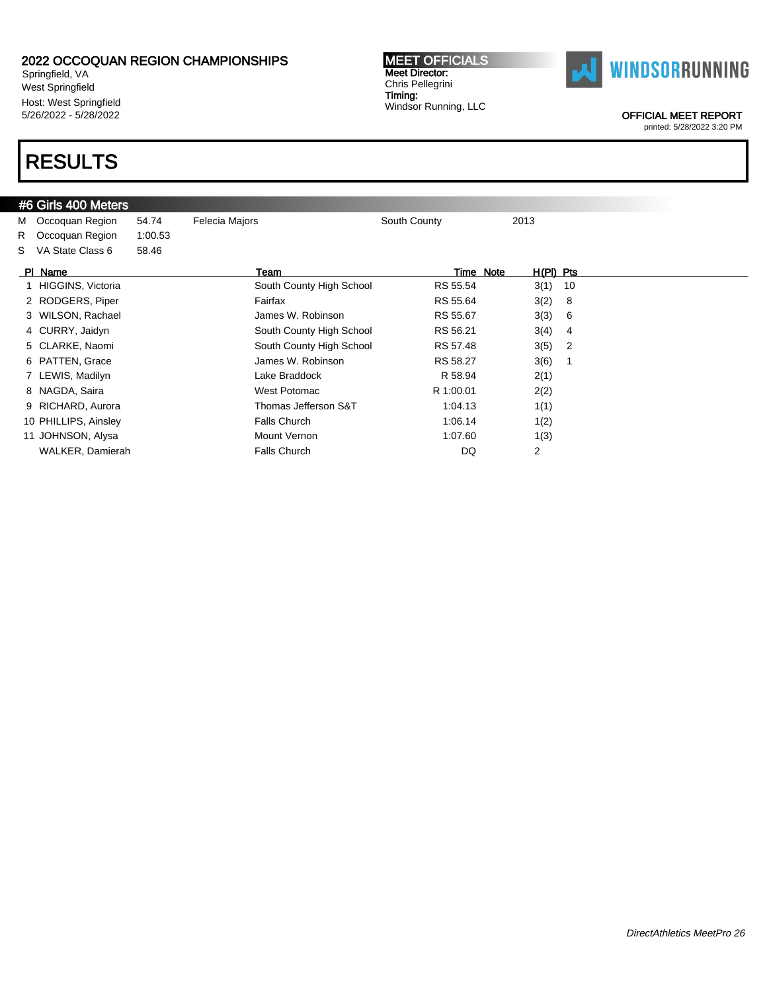Springfield, VA West Springfield Host: West Springfield 5/26/2022 - 5/28/2022

# RESULTS

| #6 Girls 400 Meters |  |  |
|---------------------|--|--|
|                     |  |  |

M Occoquan Region 54.74 Felecia Majors **South County** 2013

| Chris Pellegrini     |
|----------------------|
| Timing:              |
| Windsor Running, LLC |
|                      |
|                      |

MEET OFFICIALS Meet Director:



OFFICIAL MEET REPORT

|    | R Occoquan Region    | 1:00.53 |                          |           |             |     |
|----|----------------------|---------|--------------------------|-----------|-------------|-----|
| S. | VA State Class 6     | 58.46   |                          |           |             |     |
|    | PI Name              |         | Team                     | Time Note | $H(PI)$ Pts |     |
|    | HIGGINS, Victoria    |         | South County High School | RS 55.54  | 3(1)        | 10  |
|    | 2 RODGERS, Piper     |         | Fairfax                  | RS 55.64  | 3(2)        | - 8 |
|    | 3 WILSON, Rachael    |         | James W. Robinson        | RS 55.67  | 3(3) 6      |     |
|    | 4 CURRY, Jaidyn      |         | South County High School | RS 56.21  | 3(4) 4      |     |
|    | 5 CLARKE, Naomi      |         | South County High School | RS 57.48  | $3(5)$ 2    |     |
|    | 6 PATTEN, Grace      |         | James W. Robinson        | RS 58.27  | 3(6)        |     |
|    | 7 LEWIS, Madilyn     |         | Lake Braddock            | R 58.94   | 2(1)        |     |
|    | 8 NAGDA, Saira       |         | West Potomac             | R 1:00.01 | 2(2)        |     |
|    | 9 RICHARD, Aurora    |         | Thomas Jefferson S&T     | 1:04.13   | 1(1)        |     |
|    | 10 PHILLIPS, Ainsley |         | <b>Falls Church</b>      | 1:06.14   | 1(2)        |     |
|    | 11 JOHNSON, Alysa    |         | Mount Vernon             | 1:07.60   | 1(3)        |     |
|    | WALKER, Damierah     |         | <b>Falls Church</b>      | DQ        | 2           |     |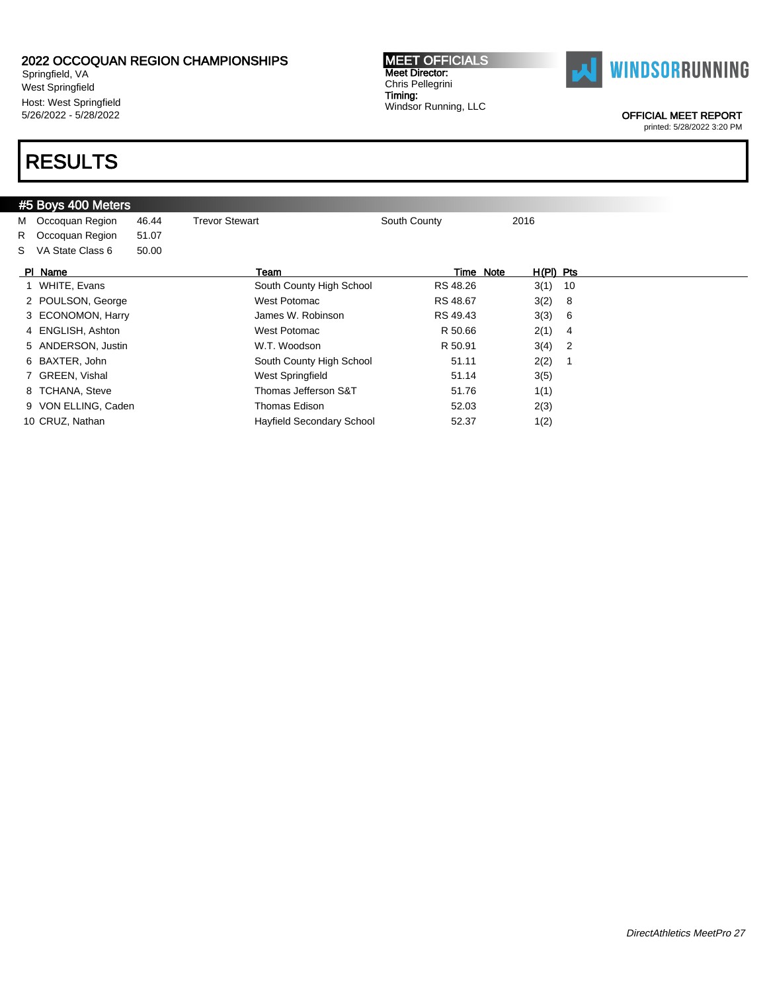Springfield, VA West Springfield Host: West Springfield 5/26/2022 - 5/28/2022

# RESULTS

|  | #5 Boys 400 Meters |
|--|--------------------|
|  |                    |

| M Occoquan Region   | 46.44 | <b>Trevor Stewart</b>            | South County | 2016        |  |
|---------------------|-------|----------------------------------|--------------|-------------|--|
| R Occoquan Region   | 51.07 |                                  |              |             |  |
| S VA State Class 6  | 50.00 |                                  |              |             |  |
| PI Name             |       | Team                             | Time Note    | $H(PI)$ Pts |  |
| 1 WHITE, Evans      |       | South County High School         | RS 48.26     | $3(1)$ 10   |  |
| 2 POULSON, George   |       | West Potomac                     | RS 48.67     | 3(2) 8      |  |
| 3 ECONOMON, Harry   |       | James W. Robinson                | RS 49.43     | 3(3) 6      |  |
| 4 ENGLISH, Ashton   |       | West Potomac                     | R 50.66      | $2(1)$ 4    |  |
| 5 ANDERSON, Justin  |       | W.T. Woodson                     | R 50.91      | $3(4)$ 2    |  |
| 6 BAXTER, John      |       | South County High School         | 51.11        | 2(2)        |  |
| 7 GREEN, Vishal     |       | West Springfield                 | 51.14        | 3(5)        |  |
| 8 TCHANA, Steve     |       | Thomas Jefferson S&T             | 51.76        | 1(1)        |  |
| 9 VON ELLING, Caden |       | Thomas Edison                    | 52.03        | 2(3)        |  |
| 10 CRUZ, Nathan     |       | <b>Hayfield Secondary School</b> | 52.37        | 1(2)        |  |
|                     |       |                                  |              |             |  |

MEET OFFICIALS Meet Director: Chris Pellegrini Timing: Windsor Running, LLC



OFFICIAL MEET REPORT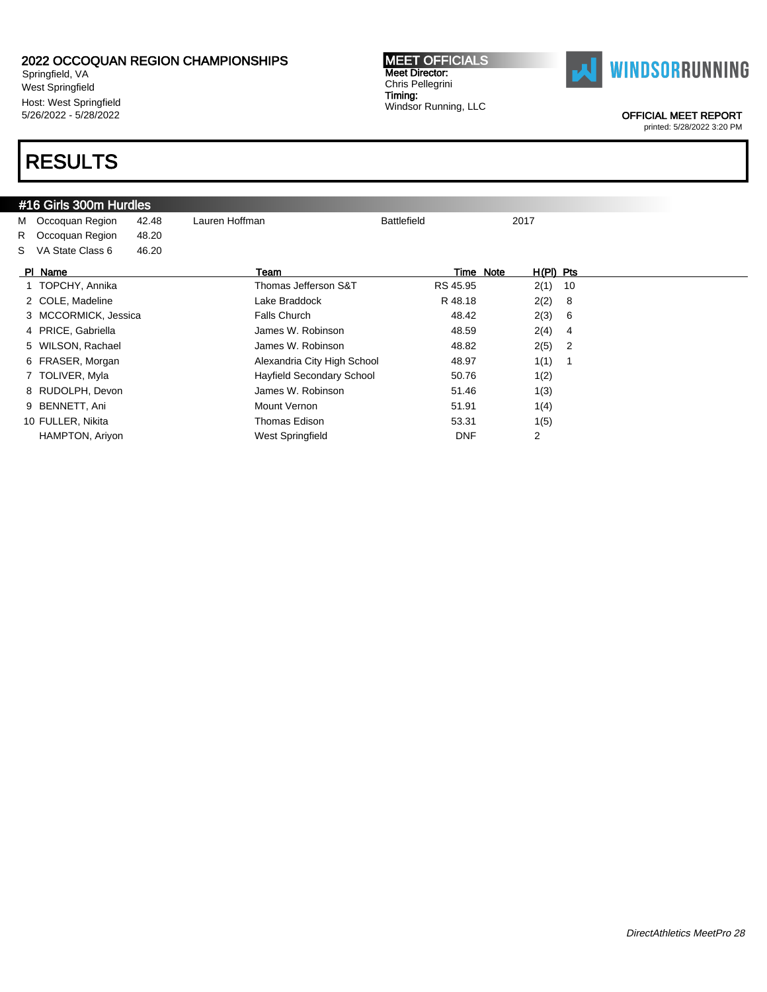Springfield, VA West Springfield Host: West Springfield 5/26/2022 - 5/28/2022

# RESULTS

### #16 Girls 300m Hurdles

M Occoquan Region 42.48 Lauren Hoffman **Battlefield** 2017 R Occoquan Region 48.20

S VA State Class 6 46.20

| PI Name              | Team                        |            | Time Note | $H(PI)$ Pts    |                |
|----------------------|-----------------------------|------------|-----------|----------------|----------------|
| 1 TOPCHY, Annika     | Thomas Jefferson S&T        | RS 45.95   |           | 2(1)           | 10             |
| 2 COLE, Madeline     | Lake Braddock               | R 48.18    |           | 2(2)           | - 8            |
| 3 MCCORMICK, Jessica | Falls Church                | 48.42      |           | 2(3)           | - 6            |
| 4 PRICE, Gabriella   | James W. Robinson           | 48.59      |           | 2(4)           | 4              |
| 5 WILSON, Rachael    | James W. Robinson           | 48.82      |           | 2(5)           | $\overline{2}$ |
| 6 FRASER, Morgan     | Alexandria City High School | 48.97      |           | 1(1)           |                |
| 7 TOLIVER, Myla      | Hayfield Secondary School   | 50.76      |           | 1(2)           |                |
| 8 RUDOLPH, Devon     | James W. Robinson           | 51.46      |           | 1(3)           |                |
| 9 BENNETT, Ani       | Mount Vernon                | 51.91      |           | 1(4)           |                |
| 10 FULLER, Nikita    | Thomas Edison               | 53.31      |           | 1(5)           |                |
| HAMPTON, Ariyon      | West Springfield            | <b>DNF</b> |           | $\overline{2}$ |                |

MEET OFFICIALS Meet Director: Chris Pellegrini Timing: Windsor Running, LLC



OFFICIAL MEET REPORT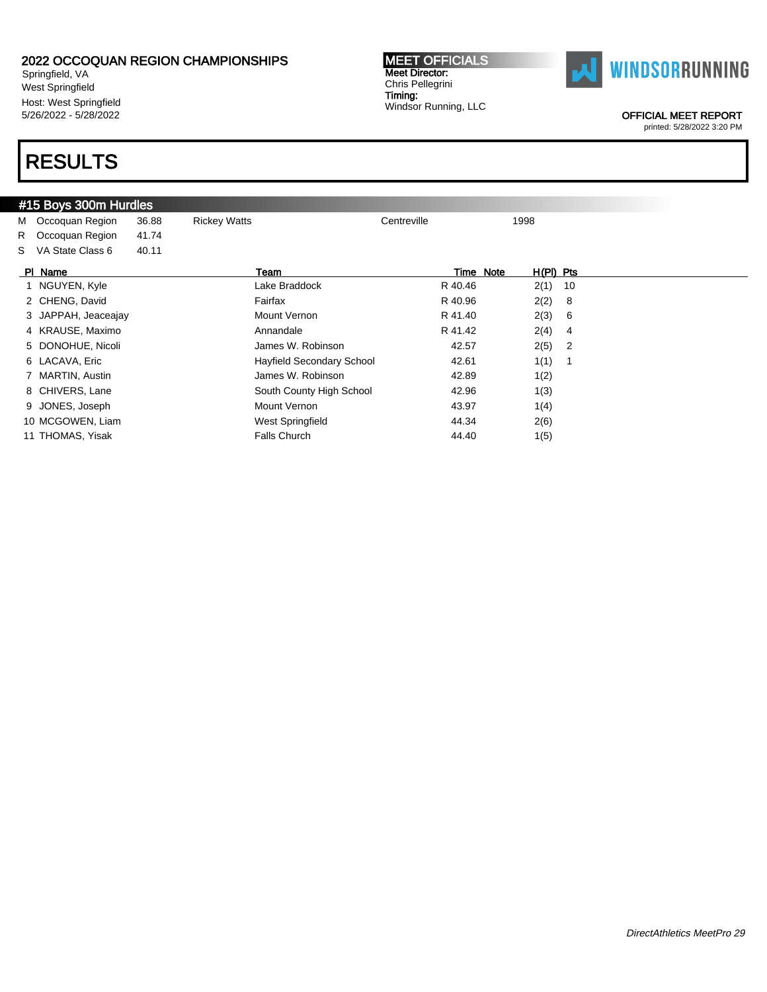Springfield, VA West Springfield Host: West Springfield 5/26/2022 - 5/28/2022

### RESULTS

#### #15 Boys 300m Hurdles

M Occoquan Region 36.88 Rickey Watts Centreville Centreville 1998 R Occoquan Region 41.74

S VA State Class 6 40.11

| PI Name             | Team                      | Time Note | $H(PI)$ Pts |                            |
|---------------------|---------------------------|-----------|-------------|----------------------------|
| 1 NGUYEN, Kyle      | Lake Braddock             | R 40.46   | $2(1)$ 10   |                            |
| 2 CHENG, David      | Fairfax                   | R 40.96   | 2(2)        | 8                          |
| 3 JAPPAH, Jeaceajay | Mount Vernon              | R 41.40   | 2(3)        | 6                          |
| 4 KRAUSE, Maximo    | Annandale                 | R 41.42   | 2(4)        | 4                          |
| 5 DONOHUE, Nicoli   | James W. Robinson         | 42.57     | 2(5)        | $\overline{\phantom{0}}^2$ |
| 6 LACAVA, Eric      | Hayfield Secondary School | 42.61     | 1(1)        |                            |
| 7 MARTIN, Austin    | James W. Robinson         | 42.89     | 1(2)        |                            |
| 8 CHIVERS, Lane     | South County High School  | 42.96     | 1(3)        |                            |
| 9 JONES, Joseph     | Mount Vernon              | 43.97     | 1(4)        |                            |
| 10 MCGOWEN, Liam    | West Springfield          | 44.34     | 2(6)        |                            |
| 11 THOMAS, Yisak    | <b>Falls Church</b>       | 44.40     | 1(5)        |                            |

MEET OFFICIALS Meet Director: Chris Pellegrini Timing: Windsor Running, LLC



OFFICIAL MEET REPORT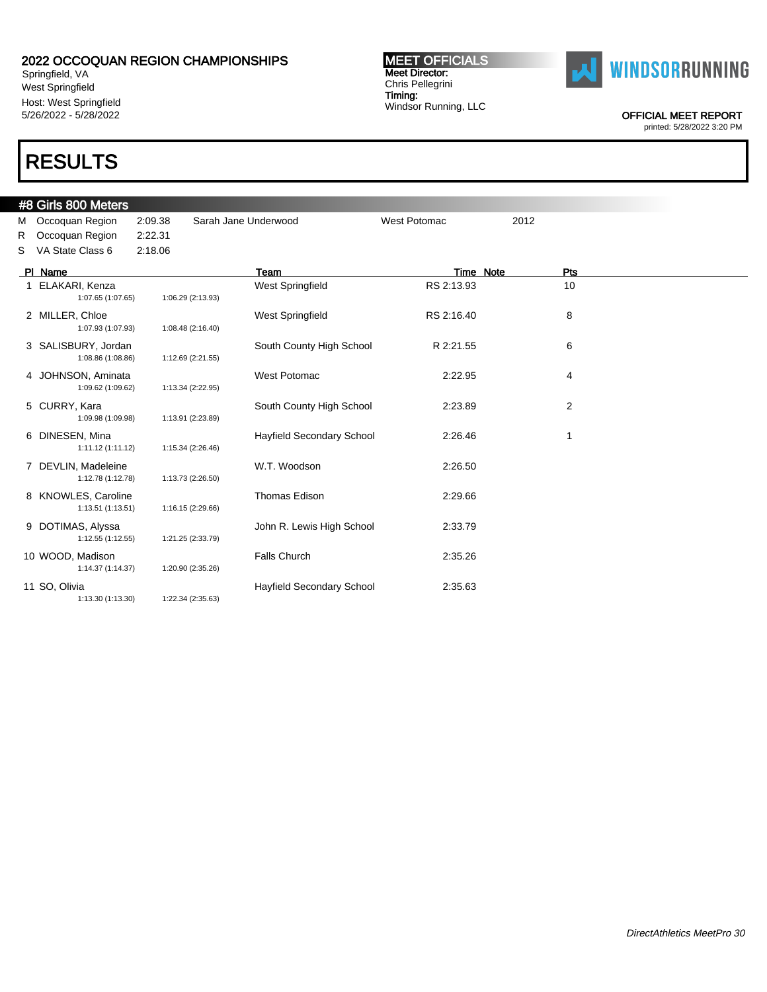Springfield, VA West Springfield Host: West Springfield 5/26/2022 - 5/28/2022

### RESULTS

#### #8 Girls 800 Meters M Occoquan Region 2:09.38 Sarah Jane Underwood West Potomac 2012 R Occoquan Region 2:22.31 S VA State Class 6 2:18.06 PI Name **The Properties Container Team Team Team Time Note** Pts 1 ELAKARI, Kenza 1:07.65 1:07.65 1006.29 (2:13.93 West Springfield RS 2:13.93 10 1:06.29 (2:13.93) 2 MILLER, Chloe **Channel Channel West Springfield** RS 2:16.40 8 8 1:07.93 (1:07.93) 1:08.48 (2:16.40) 3 SALISBURY, Jordan South County High School R 2:21.55 6<br>1:08.86 (1:08.86) 1:12.69 (2:21.55) 1:12.69 (2:21.55) 4 JOHNSON, Aminata West Potomac 2:22.95 4 1:09.62 (1:09.62) 1:13.34 (2:22.95) 5 CURRY, Kara **South County High School** 2:23.89 2:23.89 2:23.89 2:23.89 2:23.89 2:23.89 2:23.89 2:23.89 2:23.89 2:23.89 2:23.89 2:23.89 2:23.89 2:23.89 2:23.89 2:23.89 2:23.89 2:23.89 2:23.89 2:23.89 2:23.89 2:23.89 2:23. 1:09.98 (1:09.98) 1:13.91 (2:23.89) 6 DINESEN, Mina Hayfield Secondary School 2:26.46 1 1:11.12 (1:11.12) 1:15.34 (2:26.46) 7 DEVLIN, Madeleine W.T. Woodson 2:26.50 1:12.78 (1:12.78) 1:13.73 (2:26.50) 8 KNOWLES, Caroline Thomas Edison 2:29.66 1:13.51 (1:13.51) 1:16.15 (2:29.66) 9 DOTIMAS, Alyssa  $\qquad \qquad$  John R. Lewis High School 2:33.79 1:12.55 (1:12.55) 1:21.25 (2:33.79) 10 WOOD, Madison **10 WOOD, Madison** 2:35.26 1:14.37 (1:14.37) 1:20.90 (2:35.26) 11 SO, Olivia Hayfield Secondary School 2:35.63 1:22.34 (2:35.63)

MEET OFFICIALS Meet Director: Chris Pellegrini Timing: Windsor Running, LLC



OFFICIAL MEET REPORT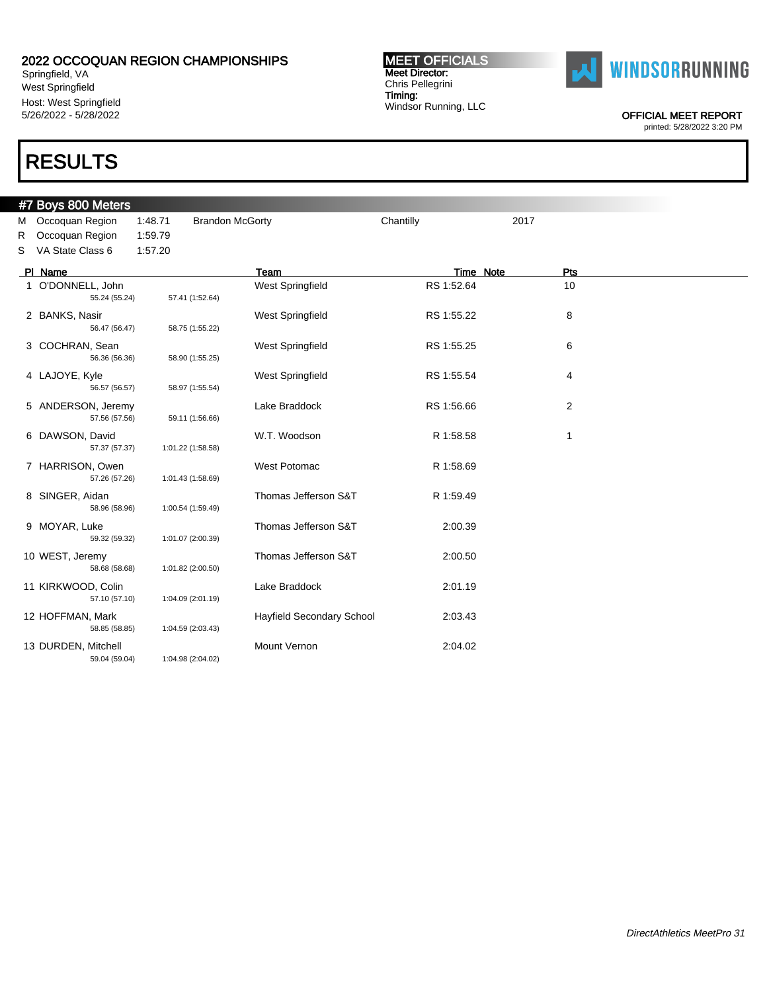Springfield, VA West Springfield Host: West Springfield 5/26/2022 - 5/28/2022

### RESULTS

#### #7 Boys 800 Meters M Occoquan Region 1:48.71 Brandon McGorty Chantilly Chantilly 2017 R Occoquan Region 1:59.79 S VA State Class 6 1:57.20 PI Name **The Properties Container Team Team Team Time Note** Pts 1 O'DONNELL, John West Springfield RS 1:52.64 10<br>55.24 (55.24) 57.41 (1:52.64 ) 55.24 (55.24) 57.41 (1:52.64) 2 BANKS, Nasir **National Accord Participate Springfield** RS 1:55.22 8 8 56.47 (56.47) 58.75 (1:55.22) 3 COCHRAN, Sean 6 Mest Springfield RS 1:55.25 6 6 Sean 56.36 (56.36) 6 6 Mest Springfield RS 1:55.25 6 6 Sean 56.36 (56.36) 56.36 (56.36) 58.90 (1:55.25) 4 LAJOYE, Kyle West Springfield RS 1:55.54 4 56.57 (56.57) 58.97 (1:55.54) 5 ANDERSON, Jeremy **Lake Braddock** RS 1:56.66 2 57.56 (57.56) 59.11 (1:56.66) 6 DAWSON, David W.T. Woodson R 1:58.58 1 57.37 (57.37) 1:01.22 (1:58.58) 7 HARRISON, Owen West Potomac R 1:58.69 57.26 (57.26) 1:01.43 (1:58.69) 8 SINGER, Aidan **Thomas Jefferson S&T** R 1:59.49 58.96 (58.96) 1:00.54 (1:59.49) 9 MOYAR, Luke Thomas Jefferson S&T 2:00.39 59.32 (59.32) 1:01.07 (2:00.39) 10 WEST, Jeremy Thomas Jefferson S&T 2:00.50 58.68 (58.68) 1:01.82 (2:00.50) 11 KIRKWOOD, Colin Lake Braddock 2:01.19 1:04.09 (2:01.19) 12 HOFFMAN, Mark Hayfield Secondary School 2:03.43 58.85 (58.85) 1:04.59 (2:03.43) 13 DURDEN, Mitchell **Mount Vernon** Mount Vernon 2:04.02 59.04 (59.04) 1:04.98 (2:04.02)

MEET OFFICIALS Meet Director: Chris Pellegrini Timing: Windsor Running, LLC



OFFICIAL MEET REPORT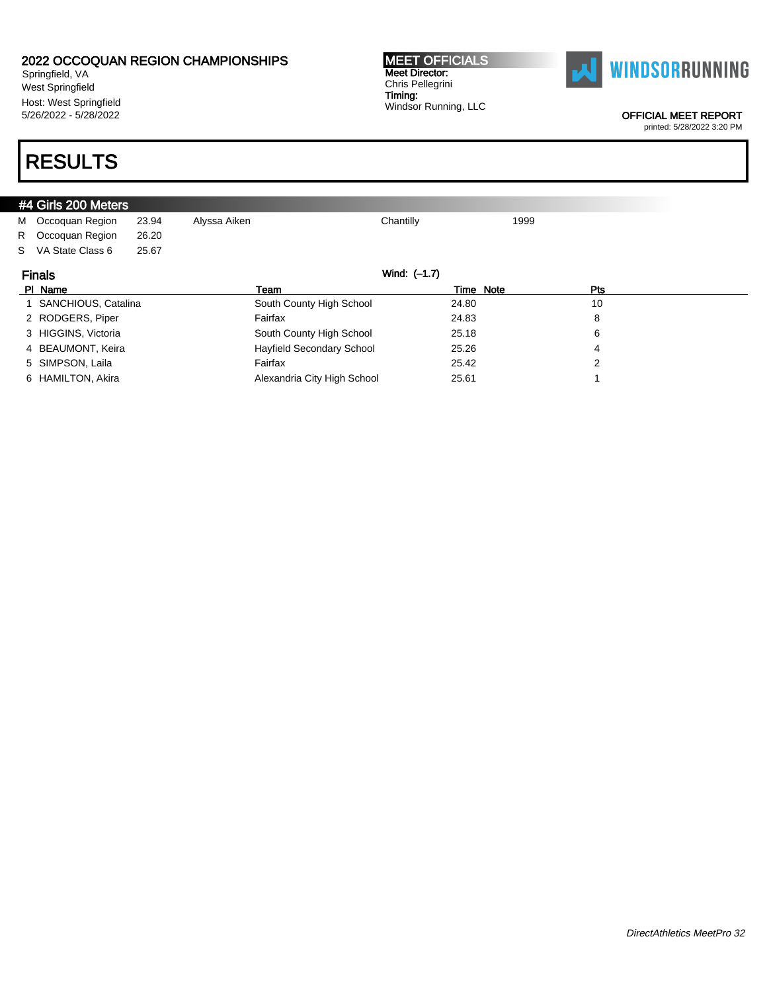Springfield, VA West Springfield Host: West Springfield 5/26/2022 - 5/28/2022

# RESULTS

|                               | $#4$ Girls 200 Meters |       |                          |           |      |     |  |
|-------------------------------|-----------------------|-------|--------------------------|-----------|------|-----|--|
|                               | M Occoquan Region     | 23.94 | Alyssa Aiken             | Chantilly | 1999 |     |  |
|                               | R Occoquan Region     | 26.20 |                          |           |      |     |  |
|                               | S VA State Class 6    | 25.67 |                          |           |      |     |  |
| Wind: (-1.7)<br><b>Finals</b> |                       |       |                          |           |      |     |  |
|                               |                       |       |                          |           |      |     |  |
|                               | PI Name               |       | Team                     | Time Note |      | Pts |  |
|                               | 1 SANCHIOUS, Catalina |       | South County High School | 24.80     |      | 10  |  |
|                               | 2 RODGERS, Piper      |       | Fairfax                  | 24.83     |      | 8   |  |

### 4 BEAUMONT, Keira **Hayfield Secondary School** 25.26 25.26 4 5 SIMPSON, Laila Fairfax 25.42 2 6 HAMILTON, Akira **Alexandria City High School** 25.61 25.61 25.61

Chris Pellegrini Timing: Windsor Running, LLC

MEET OFFICIALS Meet Director:



#### OFFICIAL MEET REPORT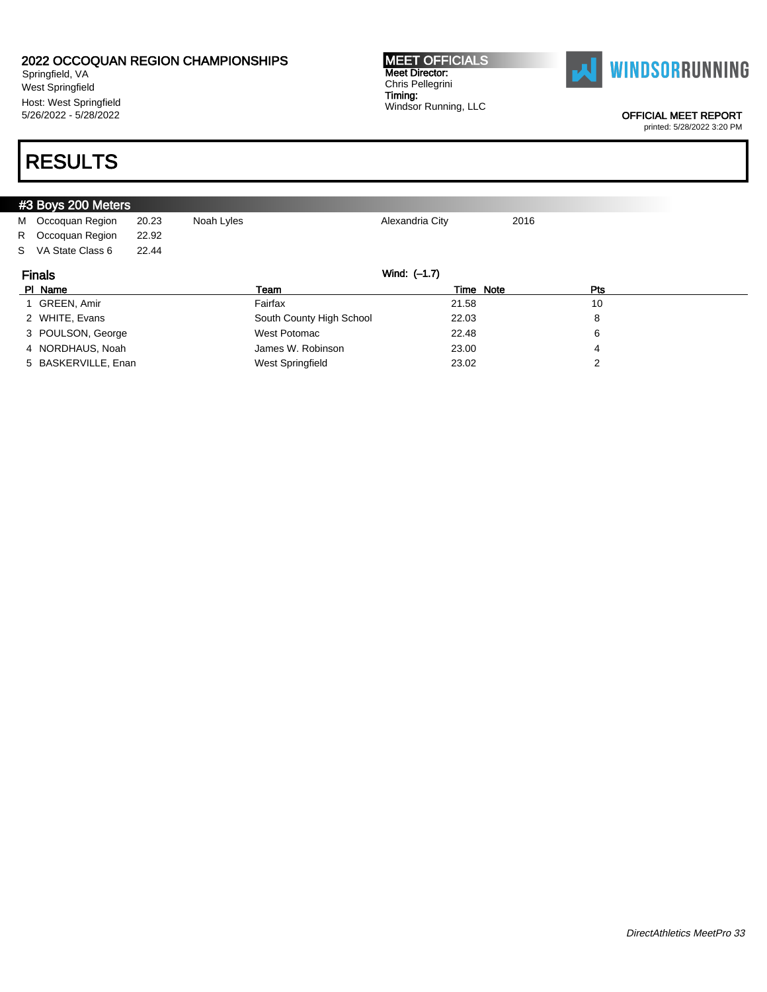Springfield, VA West Springfield Host: West Springfield 5/26/2022 - 5/28/2022

#### MEET OFFICIALS Meet Director: Chris Pellegrini Timing: Windsor Running, LLC



OFFICIAL MEET REPORT

printed: 5/28/2022 3:20 PM

# RESULTS

|                               | #3 Boys 200 Meters  |       |                          |                 |      |     |  |  |  |
|-------------------------------|---------------------|-------|--------------------------|-----------------|------|-----|--|--|--|
|                               | M Occoquan Region   | 20.23 | Noah Lyles               | Alexandria City | 2016 |     |  |  |  |
|                               | R Occoquan Region   | 22.92 |                          |                 |      |     |  |  |  |
|                               | S VA State Class 6  | 22.44 |                          |                 |      |     |  |  |  |
| Wind: (-1.7)<br><b>Finals</b> |                     |       |                          |                 |      |     |  |  |  |
|                               | PI Name             |       | Team                     | Time Note       |      | Pts |  |  |  |
|                               | 1 GREEN, Amir       |       | Fairfax                  | 21.58           |      | 10  |  |  |  |
|                               | 2 WHITE, Evans      |       | South County High School | 22.03           |      | 8   |  |  |  |
|                               | 3 POULSON, George   |       | West Potomac             | 22.48           |      | 6   |  |  |  |
|                               | 4 NORDHAUS, Noah    |       | James W. Robinson        | 23.00           |      | 4   |  |  |  |
|                               | 5 BASKERVILLE, Enan |       | West Springfield         | 23.02           |      | າ   |  |  |  |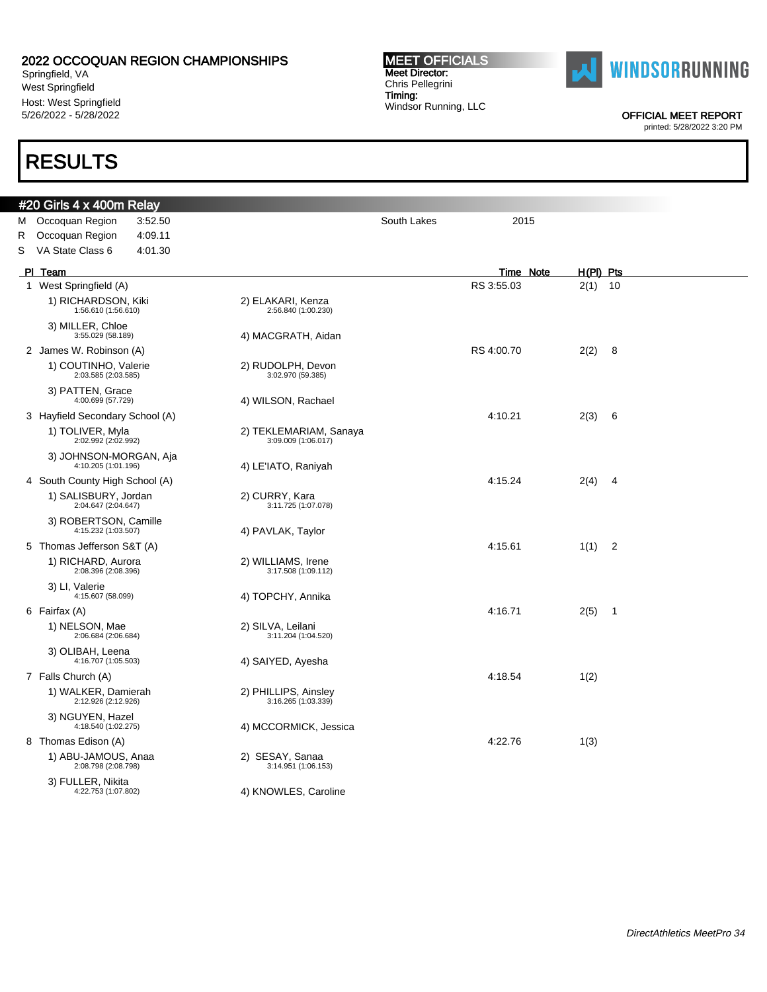Springfield, VA West Springfield Host: West Springfield 5/26/2022 - 5/28/2022

### RESULTS

# Meet Director: Chris Pellegrini Timing: Windsor Running, LLC

**MEET OFFICIALS** 





OFFICIAL MEET REPORT printed: 5/28/2022 3:20 PM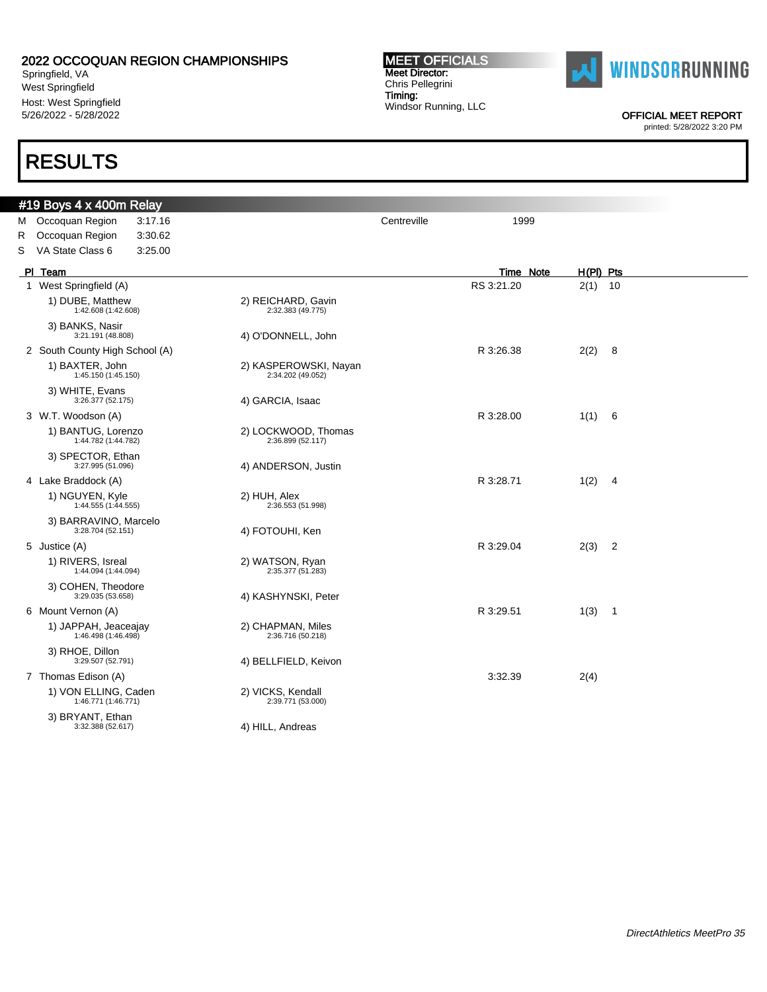Springfield, VA West Springfield Host: West Springfield 5/26/2022 - 5/28/2022

### RESULTS

#### MEET OFFICIALS Meet Director: Chris Pellegrini Timing: Windsor Running, LLC



OFFICIAL MEET REPORT

|   | #19 Boys 4 x 400m Relay                     |         |                                            |             |            |           |             |     |
|---|---------------------------------------------|---------|--------------------------------------------|-------------|------------|-----------|-------------|-----|
|   | M Occoquan Region                           | 3:17.16 |                                            | Centreville | 1999       |           |             |     |
| R | Occoquan Region                             | 3:30.62 |                                            |             |            |           |             |     |
| S | VA State Class 6                            | 3:25.00 |                                            |             |            |           |             |     |
|   | PI Team                                     |         |                                            |             |            | Time Note | $H(PI)$ Pts |     |
|   | 1 West Springfield (A)                      |         |                                            |             | RS 3:21.20 |           | 2(1)        | 10  |
|   | 1) DUBE, Matthew<br>1:42.608 (1:42.608)     |         | 2) REICHARD, Gavin<br>2:32.383 (49.775)    |             |            |           |             |     |
|   | 3) BANKS, Nasir<br>3:21.191 (48.808)        |         | 4) O'DONNELL, John                         |             |            |           |             |     |
|   | 2 South County High School (A)              |         |                                            |             | R 3:26.38  |           | 2(2)        | - 8 |
|   | 1) BAXTER, John<br>1:45.150 (1:45.150)      |         | 2) KASPEROWSKI, Nayan<br>2:34.202 (49.052) |             |            |           |             |     |
|   | 3) WHITE, Evans<br>3:26.377 (52.175)        |         | 4) GARCIA, Isaac                           |             |            |           |             |     |
|   | 3 W.T. Woodson (A)                          |         |                                            |             | R 3:28.00  |           | 1(1) 6      |     |
|   | 1) BANTUG, Lorenzo<br>1:44.782 (1:44.782)   |         | 2) LOCKWOOD, Thomas<br>2:36.899 (52.117)   |             |            |           |             |     |
|   | 3) SPECTOR, Ethan<br>3:27.995 (51.096)      |         | 4) ANDERSON, Justin                        |             |            |           |             |     |
|   | 4 Lake Braddock (A)                         |         |                                            |             | R 3:28.71  |           | 1(2)        | - 4 |
|   | 1) NGUYEN, Kyle<br>1:44.555 (1:44.555)      |         | 2) HUH, Alex<br>2:36.553 (51.998)          |             |            |           |             |     |
|   | 3) BARRAVINO, Marcelo<br>3:28.704 (52.151)  |         | 4) FOTOUHI, Ken                            |             |            |           |             |     |
|   | 5 Justice (A)                               |         |                                            |             | R 3:29.04  |           | $2(3)$ 2    |     |
|   | 1) RIVERS, Isreal<br>1:44.094 (1:44.094)    |         | 2) WATSON, Ryan<br>2:35.377 (51.283)       |             |            |           |             |     |
|   | 3) COHEN, Theodore<br>3:29.035 (53.658)     |         | 4) KASHYNSKI, Peter                        |             |            |           |             |     |
|   | 6 Mount Vernon (A)                          |         |                                            |             | R 3:29.51  |           | 1(3) 1      |     |
|   | 1) JAPPAH, Jeaceajay<br>1:46.498 (1:46.498) |         | 2) CHAPMAN, Miles<br>2:36.716 (50.218)     |             |            |           |             |     |
|   | 3) RHOE, Dillon<br>3:29.507 (52.791)        |         | 4) BELLFIELD, Keivon                       |             |            |           |             |     |
|   | 7 Thomas Edison (A)                         |         |                                            |             | 3:32.39    |           | 2(4)        |     |
|   | 1) VON ELLING, Caden<br>1:46.771 (1:46.771) |         | 2) VICKS, Kendall<br>2:39.771 (53.000)     |             |            |           |             |     |
|   | 3) BRYANT, Ethan<br>3:32.388 (52.617)       |         | 4) HILL, Andreas                           |             |            |           |             |     |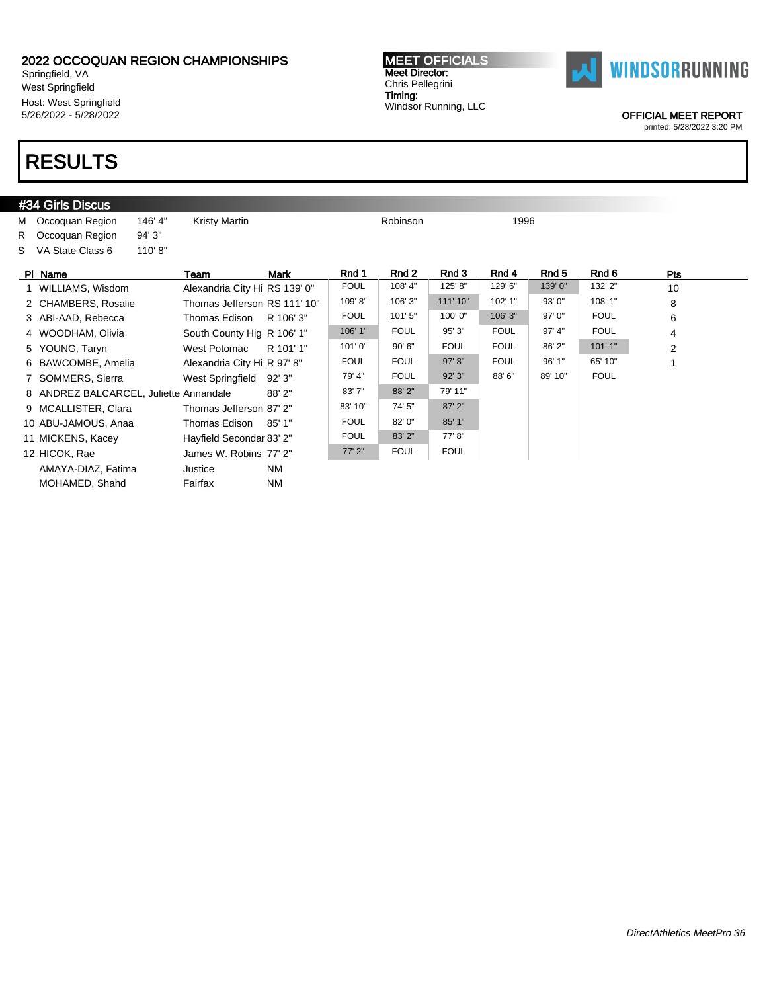Springfield, VA West Springfield Host: West Springfield 5/26/2022 - 5/28/2022

# RESULTS

#### #34 Girls Discus M Occoquan Region 146' 4" Kristy Martin Nation 2006 Robinson 21996 R Occoquan Region 94' 3" S VA State Class 6 110' 8" Pl Name \_\_\_\_\_\_\_\_\_\_\_\_\_\_\_\_Team \_\_\_\_\_\_\_Mark \_\_\_\_\_\_Rnd 1 \_\_\_Rnd 2 \_\_\_Rnd 3 \_\_\_Rnd 4 \_\_\_Rnd 5 \_\_\_Rnd 6 \_\_\_\_\_\_\_Pts 1 WILLIAMS, Wisdom Alexandria City Hi RS 139' 0" FOUL | 108' 4" | 125' 8" | 129' 6" | 139' 0" | 132' 2" 10 2 CHAMBERS, Rosalie Thomas Jefferson RS 111' 10" 109' 8" 106' 3" 111' 10" 102' 1" 93' 0" 108' 1" 8 3 ABI-AAD, Rebecca Thomas Edison R 106' 3" FOUL 101' 5" 100' 0" 106' 3" 97' 0" FOUL 6 4 WOODHAM, Olivia South County Hig R 106' 1" 106' 1" FOUL 95' 3" FOUL 97' 4" FOUL 4 5 YOUNG, Taryn West Potomac R 101' 1" 101' 0" | 90' 6" | FOUL | FOUL | 86' 2" | 101' 1" | 2 6 BAWCOMBE, Amelia Alexandria City Hi R 97' 8" FOUL FOUL 97' 8" FOUL 96' 1" 65' 10" 1 7 SOMMERS, Sierra **West Springfield 92' 3"** 79' 4" | FOUL 92' 3" 88' 6" | 89' 10" | FOUL 8 ANDREZ BALCARCEL, Juliette Annandale 88' 2" 83' 7" 88' 2" 79' 11" 9 MCALLISTER, Clara Thomas Jefferson 87' 2" 83' 10" 74' 5" 87' 2" 10 ABU-JAMOUS, Anaa Thomas Edison 85' 1" FOUL 82' 0" 85' 1" 11 MICKENS, Kacey **Hayfield Secondar 83' 2"** FOUL 83' 2" 77' 8" 12 HICOK, Rae James W. Robins 77' 2" 77' 2" FOUL FOUL AMAYA-DIAZ, Fatima Justice NM MOHAMED, Shahd Fairfax NM



OFFICIAL MEET REPORT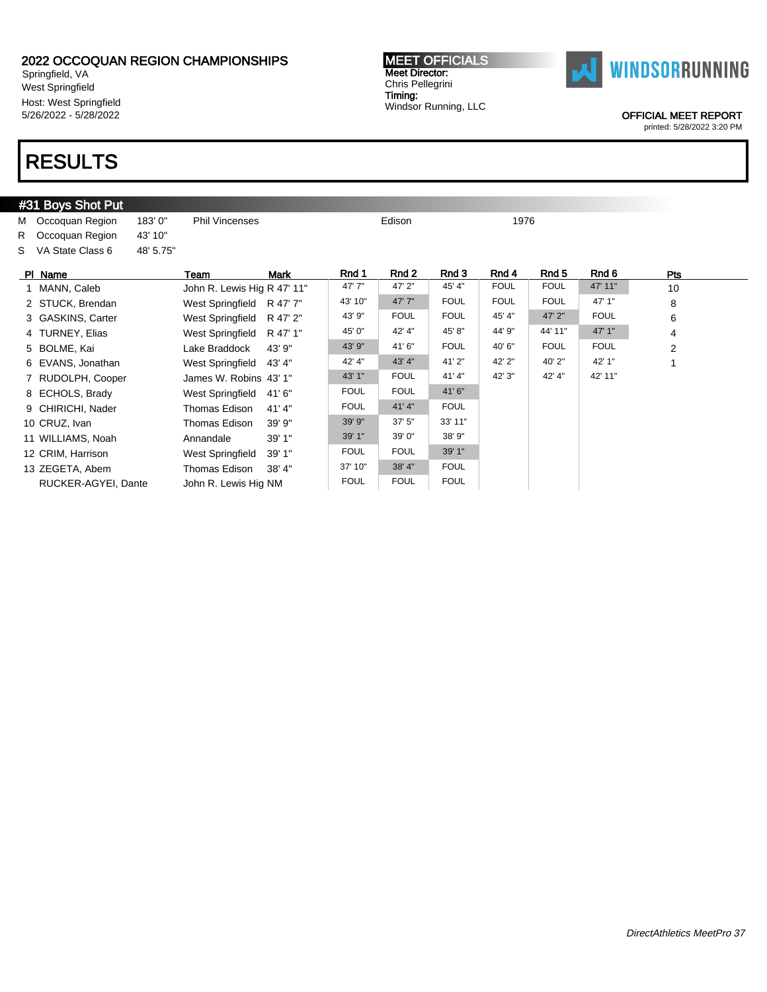Springfield, VA West Springfield Host: West Springfield 5/26/2022 - 5/28/2022

### RESULTS

#### #31 Boys Shot Put M Occoquan Region 183' 0" Phil Vincenses Commercial Edison 21976 R Occoquan Region 43' 10" S VA State Class 6 48' 5.75" Pl Name \_\_\_\_\_\_\_\_\_\_\_\_\_\_\_\_Team \_\_\_\_\_\_\_Mark \_\_\_\_\_\_Rnd 1 \_\_\_Rnd 2 \_\_\_Rnd 3 \_\_\_Rnd 4 \_\_\_Rnd 5 \_\_\_Rnd 6 \_\_\_\_\_\_\_Pts 1 MANN, Caleb John R. Lewis Hig R 47' 11" 47' 7" | 47' 2" | 45' 4" | FOUL | FOUL 47' 11" 10 2 STUCK, Brendan West Springfield R 47' 7" 43' 10" 47' 7" FOUL FOUL FOUL 47' 1" 8 3 GASKINS, Carter **West Springfield R 47' 2"** 43' 9" FOUL FOUL 45' 4" 47' 2" FOUL 6 4 TURNEY, Elias West Springfield R 47' 1" 45' 0" 42' 4" 45' 8" 44' 9" 44' 11" 47' 1" 4 5 BOLME, Kai Lake Braddock 43' 9" 41' 6" FOUL 40' 6" FOUL 2 6 EVANS, Jonathan West Springfield 43' 4" 43' 4" 43' 4" 41' 2" 42' 2" 40' 2" 42' 1" 1 7 RUDOLPH, Cooper James W. Robins 43' 1" 43' 1" FOUL 41' 4" 42' 3" 42' 4" 42' 11" 8 ECHOLS, Brady West Springfield 41' 6" FOUL FOUL 41' 6" 9 CHIRICHI, Nader Thomas Edison 41' 4" FOUL 41' 4" FOUL 10 CRUZ, Ivan **Thomas Edison** 39' 9" 39' 9" 37' 5" 33' 11" 11 WILLIAMS, Noah Annandale 39' 1" 39' 1" 39' 0" 38' 9" 12 CRIM, Harrison West Springfield 39' 1" FOUL FOUL 39' 1" 13 ZEGETA, Abem Thomas Edison 38' 4" 37' 10" 38' 4" FOUL RUCKER-AGYEI, Dante John R. Lewis Hig NM FOUL FOUL FOUL

MEET OFFICIALS Meet Director: Chris Pellegrini Timing: Windsor Running, LLC



OFFICIAL MEET REPORT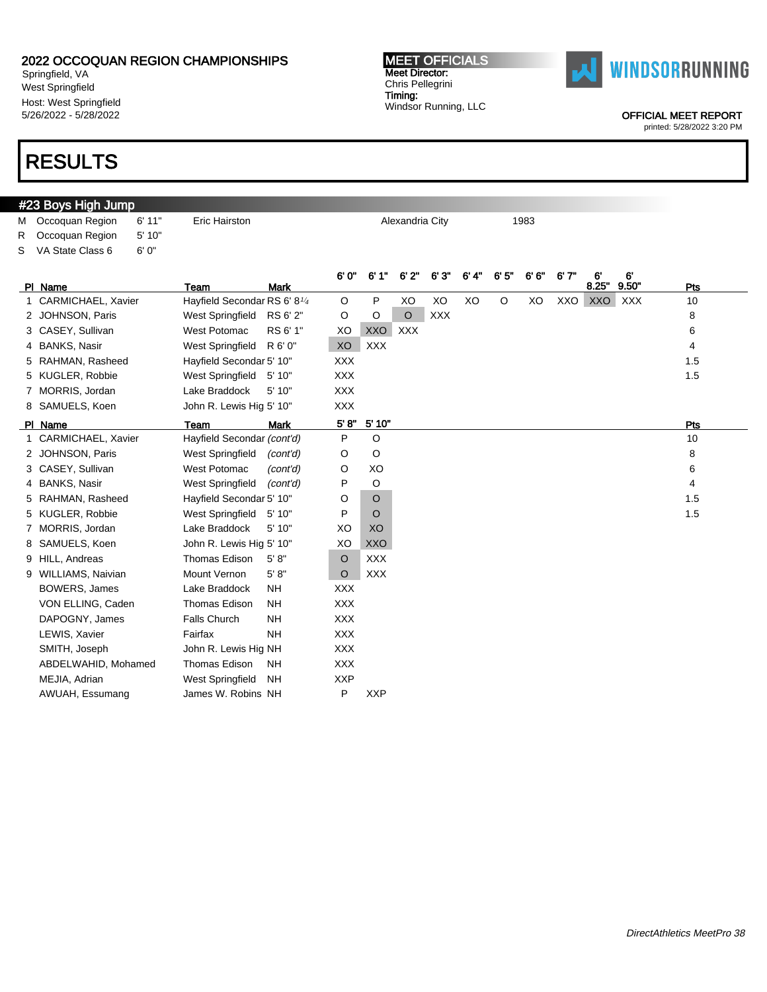Springfield, VA West Springfield Host: West Springfield 5/26/2022 - 5/28/2022

### RESULTS

#### #23 Boys High Jump M Occoquan Region 6' 11" Eric Hairston **Alexandria City** 1983 R Occoquan Region 5' 10" S VA State Class 6 6' 0" PI Name **Team** Mark 6' 0" 6' 1" 6' 2" 6' 3" 6' 4" 6' 5" 6' 6" 6' 7" 6' 8.25" 6' 9.50" Pts 1 CARMICHAEL, Xavier Hayfield Secondar RS 6' 8<sup>1/4</sup> O P XO XO XO XO XXO XXO XXX 10 2 JOHNSON, Paris West Springfield RS 6' 2" O O O XXX 8 8 3 CASEY, Sullivan **18 CASEY, Sullivan** 6 West Potomac RS 6' 1" XO XXO XXX 66 AN XXV 66 66 KM 66 AN XX 4 BANKS, Nasir **West Springfield R 6' 0"** XO XXX 4 AMKS, Nasir 4 4 AMKS 4 4 AMKS 4 4 AM 5 RAHMAN, Rasheed Hayfield Secondar 5' 10" XXX 1.5 5 KUGLER, Robbie West Springfield 5' 10" XXX 1.5 7 MORRIS, Jordan Lake Braddock 5' 10" XXX 8 SAMUELS, Koen John R. Lewis Hig 5' 10" XXX Pl Name Team Mark 5' 8" 5' 10" Pts 1 CARMICHAEL, Xavier Hayfield Secondar (cont'd) P O 10 10 2 JOHNSON, Paris West Springfield (cont'd) O O C 3 CASEY, Sullivan **West Potomac** (cont'd) O XO 6 6 4 BANKS, Nasir **West Springfield** (cont'd) P O 4 4 5 RAHMAN, Rasheed Hayfield Secondar 5' 10" O 0 0 1.5 5 KUGLER, Robbie West Springfield 5' 10" P O 1.5 7 MORRIS, Jordan Lake Braddock 5' 10" XO XO 8 SAMUELS, Koen John R. Lewis Hig 5' 10" XO XXO 9 HILL, Andreas Thomas Edison 5' 8" O XXX 9 WILLIAMS, Naivian Mount Vernon 5'8" O XXX BOWERS, James Lake Braddock NH XXX VON ELLING, Caden Thomas Edison NH XXX DAPOGNY, James Falls Church NH XXX LEWIS, Xavier **Fairfax** NH XXX SMITH, Joseph John R. Lewis Hig NH XXX ABDELWAHID, Mohamed Thomas Edison NH XXX MEJIA, Adrian West Springfield NH XXP AWUAH, Essumang James W. Robins NH P XXP

DirectAthletics MeetPro 38



MEET OFFICIALS Meet Director: Chris Pellegrini Timing: Windsor Running, LLC

OFFICIAL MEET REPORT printed: 5/28/2022 3:20 PM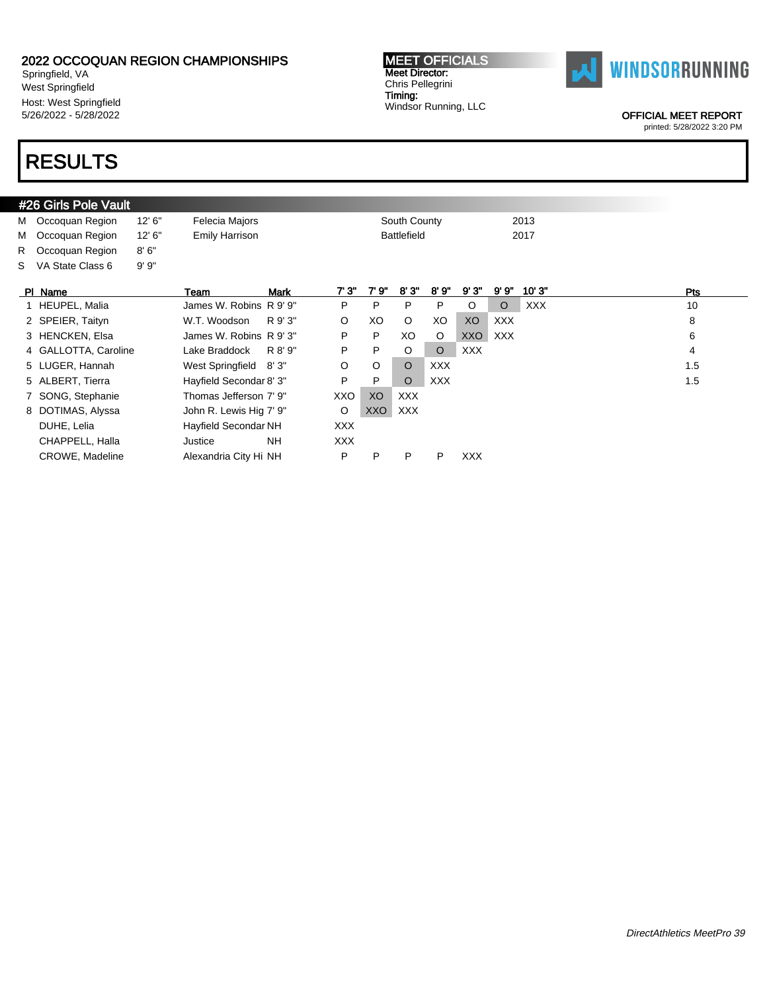Springfield, VA West Springfield Host: West Springfield 5/26/2022 - 5/28/2022

## RESULTS

#### MEET OFFICIALS Meet Director: Chris Pellegrini Timing: Windsor Running, LLC



OFFICIAL MEET REPORT

|    | #26 Girls Pole Vault |         |                             |         |       |                    |            |            |            |            |            |
|----|----------------------|---------|-----------------------------|---------|-------|--------------------|------------|------------|------------|------------|------------|
|    | M Occoquan Region    | 12' 6'' | Felecia Majors              |         |       | South County       |            |            |            | 2013       |            |
| M  | Occoquan Region      | 12' 6'' | Emily Harrison              |         |       | <b>Battlefield</b> |            |            |            | 2017       |            |
| R. | Occoquan Region      | 8'6''   |                             |         |       |                    |            |            |            |            |            |
| S. | VA State Class 6     | 9'9''   |                             |         |       |                    |            |            |            |            |            |
|    | PI Name              |         | <b>Mark</b><br>Team         | 7'3'    | 7' 9" | 8'3"               | 8'9''      | 9'3'       | 9'9'       | 10'3"      | <b>Pts</b> |
|    | 1 HEUPEL, Malia      |         | James W. Robins R 9' 9"     | P       | P     | P                  | P          | O          | $\circ$    | <b>XXX</b> | 10         |
|    | 2 SPEIER, Taityn     |         | W.T. Woodson<br>R 9' 3"     | $\circ$ | XO    | $\circ$            | XO         | XO         | <b>XXX</b> |            | 8          |
|    | 3 HENCKEN, Elsa      |         | James W. Robins R 9' 3"     | P       | P     | XO                 | $\circ$    | XXO        | XXX        |            | 6          |
|    | 4 GALLOTTA, Caroline |         | R 8' 9"<br>Lake Braddock    | P       | P     | $\circ$            | $\circ$    | <b>XXX</b> |            |            | 4          |
|    | 5 LUGER, Hannah      |         | West Springfield 8'3"       | O       | O     | $\circ$            | <b>XXX</b> |            |            |            | 1.5        |
|    | 5 ALBERT, Tierra     |         | Hayfield Secondar 8' 3"     | P       | P     | $\circ$            | <b>XXX</b> |            |            |            | 1.5        |
|    | 7 SONG, Stephanie    |         | Thomas Jefferson 7' 9"      | XXO     | XO    | <b>XXX</b>         |            |            |            |            |            |
|    | 8 DOTIMAS, Alyssa    |         | John R. Lewis Hig 7' 9"     | O       | XXO   | <b>XXX</b>         |            |            |            |            |            |
|    | DUHE, Lelia          |         | <b>Hayfield Secondar NH</b> | XXX.    |       |                    |            |            |            |            |            |
|    | CHAPPELL, Halla      |         | <b>NH</b><br>Justice        | XXX.    |       |                    |            |            |            |            |            |
|    | CROWE, Madeline      |         | Alexandria City Hi NH       | P       | P     | P                  | P          | <b>XXX</b> |            |            |            |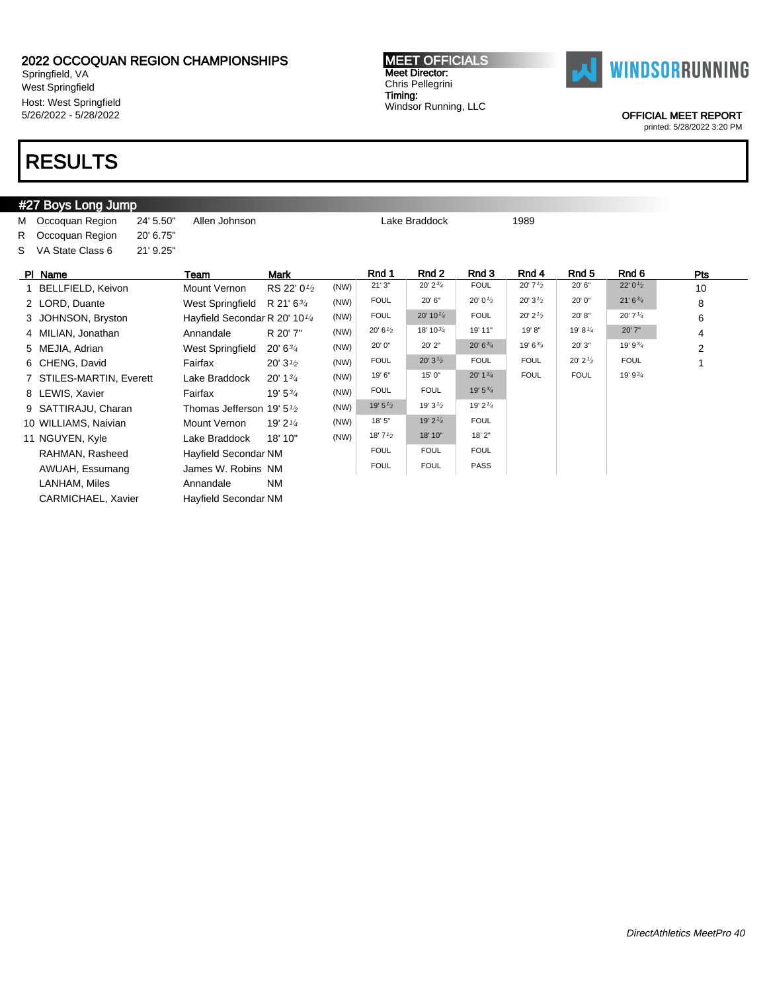Springfield, VA West Springfield Host: West Springfield 5/26/2022 - 5/28/2022

# RESULTS

#### #27 Boys Long Jump M Occoquan Region 24' 5.50" Allen Johnson Contract Lake Braddock 1989 R Occoquan Region 20' 6.75" S VA State Class 6 21' 9.25" Pl Name Team Mark Rnd 1 Rnd 2 Rnd 3 Rnd 4 Rnd 5 Rnd 6 Pts 1 BELLFIELD, Keivon Mount Vernon RS 22' 0<sup>1/2</sup>  $(NW)$  21' 3" 20' 2<sup>3'</sup> 20' L 20' 7<sup>1'</sup> 20' 6" 22' 0<sup>1'</sup> 20' 10 2 LORD, Duante West Springfield R 21' 6<sup>3/4</sup>  $(NW)$  FOUL 20' 6" 20' 0<sup>1/2</sup> 20' 3<sup>1/2</sup> 20' 0" 21' 6<sup>3</sup>/<sub>4</sub> 3 JOHNSON, Bryston Hayfield Secondar R 20' 101/<sup>4</sup> (NW) FOUL 20' 10<sup>1/4</sup> FOUL 20' 2<sup>1/2</sup> 20' 8" 20' 7<sup>1/4</sup> 6 4 MILIAN, Jonathan Annandale R 20' 7" (NW)  $20' 6^{1/2}$  18' 10<sup>3</sup>4 19' 11" 19' 8" 19' 8<sup>1/4</sup> 20' 7" 4 5 MEJIA, Adrian West Springfield 20' 634  $(NW)$  20' 0" 20' 2" 20' 6<sup>3'</sup> 4 19' 6<sup>3'</sup> 4 20' 3" 19' 9<sup>3'</sup> 4 2 6 CHENG, David Fairfax 20' 3<sup>1/2</sup>  $(NW)$  FOUL 20' 3<sup>1</sup>/<sub>2</sub> FOUL FOUL 20' 2<sup>1</sup>/<sub>2</sub> FOUL 1 7 STILES-MARTIN, Everett Lake Braddock 20' 134  $(NW)$  19' 6" 15' 0" 20' 1 $^{3}/_{4}$  FOUL FOUL 19' 9 $^{3}/_{4}$ 8 LEWIS, Xavier Fairfax 19' 53/4  $(NW)$  FOUL FOUL 19' 5 $^{3/4}$ 9 SATTIRAJU, Charan Thomas Jefferson 19' 5<sup>1/2</sup> (NW)  $19'5^{1/2}$   $19'3^{1/2}$   $19'2^{1/4}$ 10 WILLIAMS, Naivian Mount Vernon 19' 2<sup>1/4</sup>  $(NW)$  18' 5" 19' 2<sup>1/4</sup> FOUL 11 NGUYEN, Kyle Lake Braddock 18' 10" (NW) <sup>18' 71/2</sup> <sup>18' 10" 18' 2"</sup> RAHMAN, Rasheed Hayfield Secondar NM FOUL FOUL FOUL FOUL AWUAH, Essumang James W. Robins NM FOUL FOUL PASS LANHAM, Miles **Annandale** NM CARMICHAEL, Xavier Hayfield Secondar NM

MEET OFFICIALS Meet Director: Chris Pellegrini Timing: Windsor Running, LLC



OFFICIAL MEET REPORT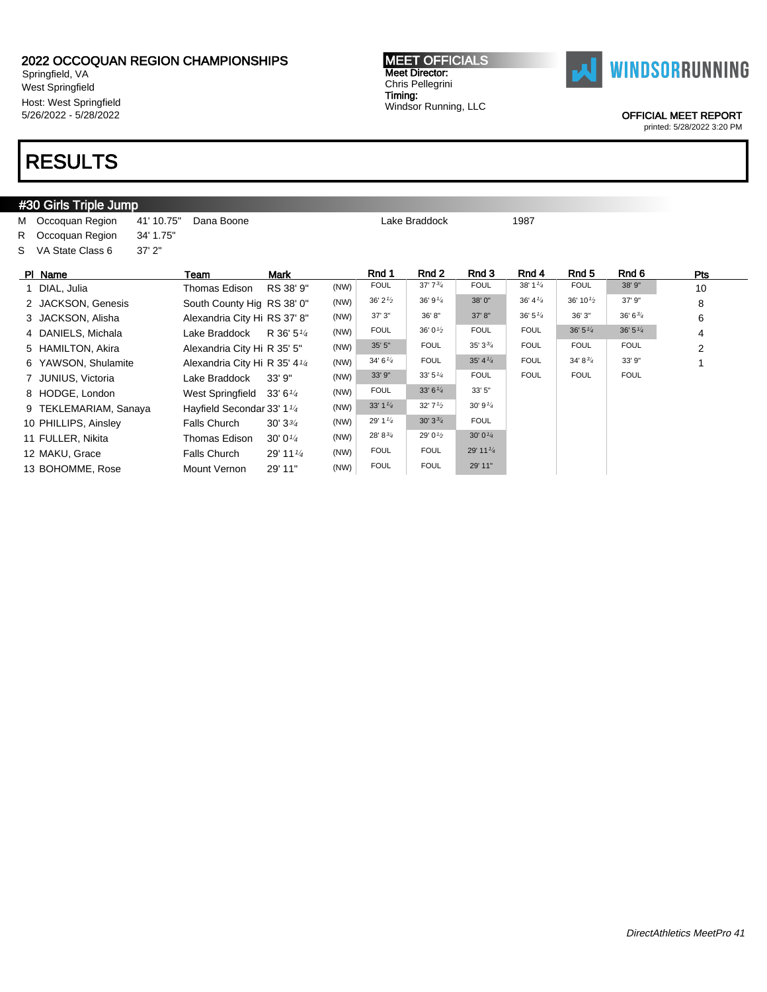Springfield, VA West Springfield Host: West Springfield 5/26/2022 - 5/28/2022

### RESULTS

#### **#30 Girls Triple Jump** M Occoquan Region 41' 10.75" Dana Boone Lake Braddock Lake Braddock 1987 R Occoquan Region 34' 1.75" S VA State Class 6 37' 2" Pl Name Team Mark Rnd 1 Rnd 2 Rnd 3 Rnd 4 Rnd 5 Rnd 6 Pts 1 DIAL, Julia **Thomas Edison RS 38' 9"** (NW) FOUL 37' 7<sup>3</sup>4 FOUL 38' 1<sup>14</sup> FOUL 38' 9" 10 2 JACKSON, Genesis South County Hig RS 38' 0" (NW)  $36'2^{1/2}$   $36'9^{1/4}$   $38'0''$   $36'4^{1/4}$   $36'10^{1/2}$   $37'9''$  8 3 JACKSON, Alisha Alexandria City Hi RS 37' 8" (NW) 37' 3" 36' 8" 37' 8" 36' 51/<sup>4</sup> 36' 3" 36' 63/<sup>4</sup> 6 4 DANIELS, Michala Lake Braddock R 36' 5<sup>1/4</sup>  $(NW)$  FOUL 36' 0<sup>1/2</sup> FOUL FOUL 36' 5<sup>1/4</sup> 36' 5<sup>1/4</sup> 4 5 HAMILTON, Akira Alexandria City Hi R 35' 5" (NW) 35' 5" FOUL 35' 334 FOUL FOUL FOUL FOUL 2 6 YAWSON, Shulamite Alexandria City Hi R 35' 41/<sup>4</sup>  $(NW)$  34' 6<sup>1/4</sup> FOUL 35' 4<sup>1/4</sup> FOUL 34' 8<sup>3/</sup>4 33' 9" 1 7 JUNIUS, Victoria **Lake Braddock** 33' 9" (NW) 33' 9" 33' 5<sup>1/4</sup> FOUL FOUL FOUL FOUL FOUL 8 HODGE, London West Springfield 33' 6<sup>1/4</sup>  $(NW)$  FOUL 33' 6<sup>1/4</sup> 33' 5" 9 TEKLEMARIAM, Sanaya Hayfield Secondar 33' 1<sup>1/4</sup> (NW) 33' 1 $\frac{1}{4}$  32' 7 $\frac{1}{2}$  30' 9 $\frac{1}{4}$ 10 PHILLIPS, Ainsley Falls Church 30' 33/4  $(NW)$  29' 1<sup>1/4</sup> 30' 3<sup>3/4</sup> FOUL 11 FULLER, Nikita Thomas Edison 30' 01/<sup>4</sup>  $(NW)$  28' 8<sup>3'</sup>4 29' 0<sup>1'</sup>2 30' 0<sup>1'</sup>4 12 MAKU, Grace Falls Church 29' 11<sup>1/4</sup>  $(NW)$  FOUL FOUL 29' 11<sup>1/4</sup> 13 BOHOMME, Rose Mount Vernon 29' 11" (NW) FOUL FOUL 29' 11"

MEET OFFICIALS Meet Director: Chris Pellegrini Timing: Windsor Running, LLC



OFFICIAL MEET REPORT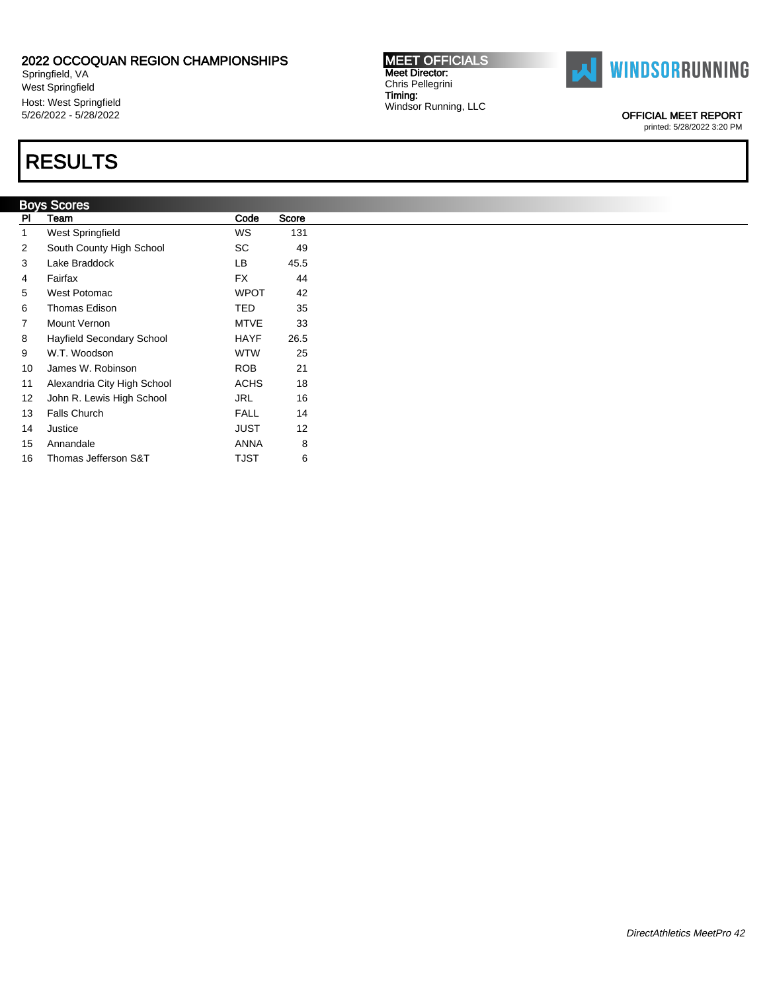Springfield, VA West Springfield Host: West Springfield 5/26/2022 - 5/28/2022

### RESULTS

|    | Boys Scores                 |             |       |
|----|-----------------------------|-------------|-------|
| PI | Team                        | Code        | Score |
| 1  | West Springfield            | WS          | 131   |
| 2  | South County High School    | SC          | 49    |
| 3  | Lake Braddock               | LB          | 45.5  |
| 4  | Fairfax                     | <b>FX</b>   | 44    |
| 5  | West Potomac                | <b>WPOT</b> | 42    |
| 6  | Thomas Edison               | TED         | 35    |
| 7  | Mount Vernon                | <b>MTVE</b> | 33    |
| 8  | Hayfield Secondary School   | <b>HAYF</b> | 26.5  |
| 9  | W.T. Woodson                | <b>WTW</b>  | 25    |
| 10 | James W. Robinson           | <b>ROB</b>  | 21    |
| 11 | Alexandria City High School | <b>ACHS</b> | 18    |
| 12 | John R. Lewis High School   | <b>JRL</b>  | 16    |
| 13 | Falls Church                | <b>FALL</b> | 14    |
| 14 | Justice                     | JUST        | 12    |
| 15 | Annandale                   | <b>ANNA</b> | 8     |
| 16 | Thomas Jefferson S&T        | TJST        | 6     |

MEET OFFICIALS Meet Director: Chris Pellegrini Timing: Windsor Running, LLC



OFFICIAL MEET REPORT